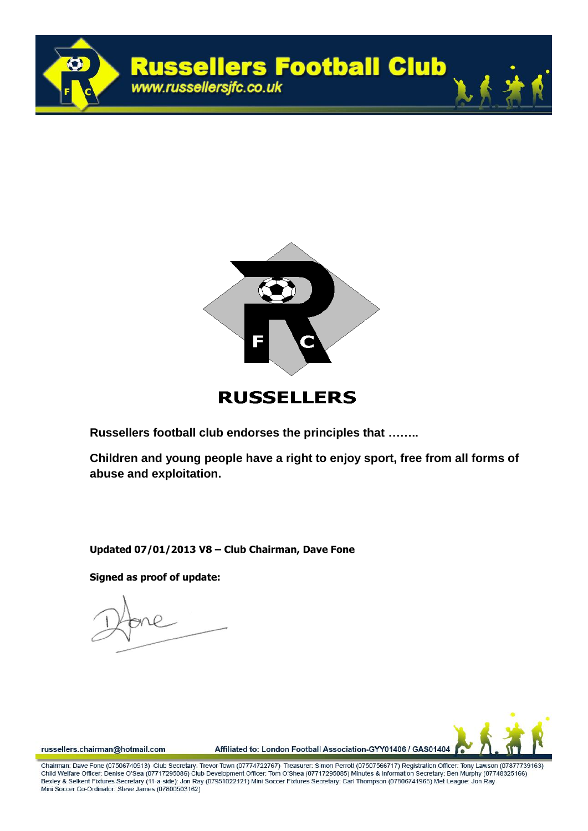



## **RUSSELLERS**

**Russellers football club endorses the principles that ……..**

**Children and young people have a right to enjoy sport, free from all forms of abuse and exploitation.** 

**Updated 07/01/2013 V8 – Club Chairman, Dave Fone**

**Signed as proof of update:**



russellers.chairman@hotmail.com

Affiliated to: London Football Association-GYY01406 / GAS01404

Chairman: Dave Fone (07506740913). Club Secretary: Trevor Town (07774722767). Treasurer: Simon Perroff (07507566717) Registration Officer: Tony Lawson (07877739163). Child Welfare Officer: Denise O'Sea (07717295086) Club Development Officer: Tom O'Shea (07717295085) Minutes & Information Secretary: Ben Murphy (07748325166) Bexley & Selkent Fixtures Secretary (11-a-side): Jon Ray (07951022121) Mini Soccer Fixtures Secretary: Carl Thompson (07806741965) Met League: Jon Ray Mini Soccer Co-Ordinator: Steve James (07800503162)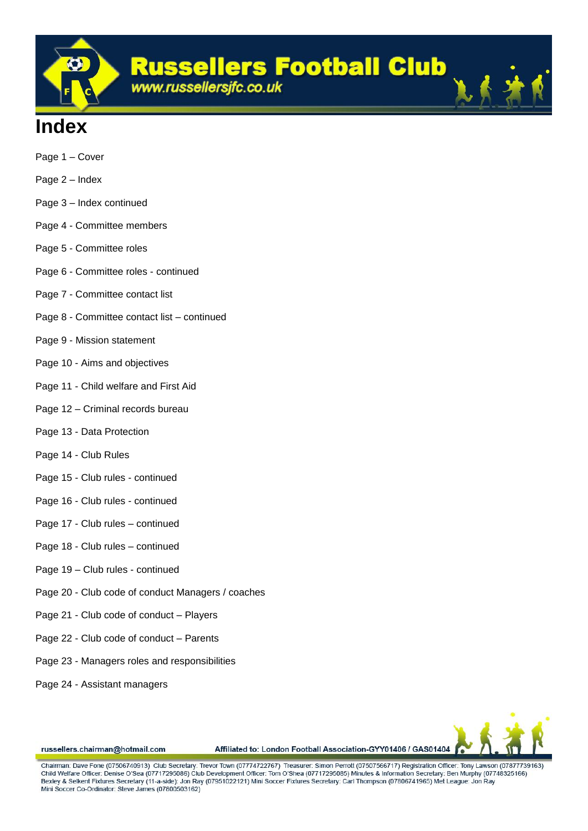

## **Index**

- Page 1 Cover
- Page 2 Index
- Page 3 Index continued
- Page 4 Committee members
- Page 5 Committee roles
- Page 6 Committee roles continued
- Page 7 Committee contact list
- Page 8 Committee contact list continued
- Page 9 Mission statement
- Page 10 Aims and objectives
- Page 11 Child welfare and First Aid
- Page 12 Criminal records bureau
- Page 13 Data Protection
- Page 14 Club Rules
- Page 15 Club rules continued
- Page 16 Club rules continued
- Page 17 Club rules continued
- Page 18 Club rules continued
- Page 19 Club rules continued
- Page 20 Club code of conduct Managers / coaches
- Page 21 Club code of conduct Players
- Page 22 Club code of conduct Parents
- Page 23 Managers roles and responsibilities
- Page 24 Assistant managers



russellers.chairman@hotmail.com

Affiliated to: London Football Association-GYY01406 / GAS01404

Chairman: Dave Fone (07506740913) Club Secretary: Trevor Town (07774722767) Treasurer: Simon Perroff (07507566717) Registration Officer: Tony Lawson (07877739163) Child Welfare Officer: Denise O'Sea (07717295086) Club Development Officer: Tom O'Shea (07717295085) Minutes & Information Secretary: Ben Murphy (07748325166) Bexley & Selkent Fixtures Secretary (11-a-side): Jon Ray (07951022121) Mini Soccer Fixtures Secretary: Carl Thompson (07806741965) Met League: Jon Ray Mini Soccer Co-Ordinator: Steve James (07800503162)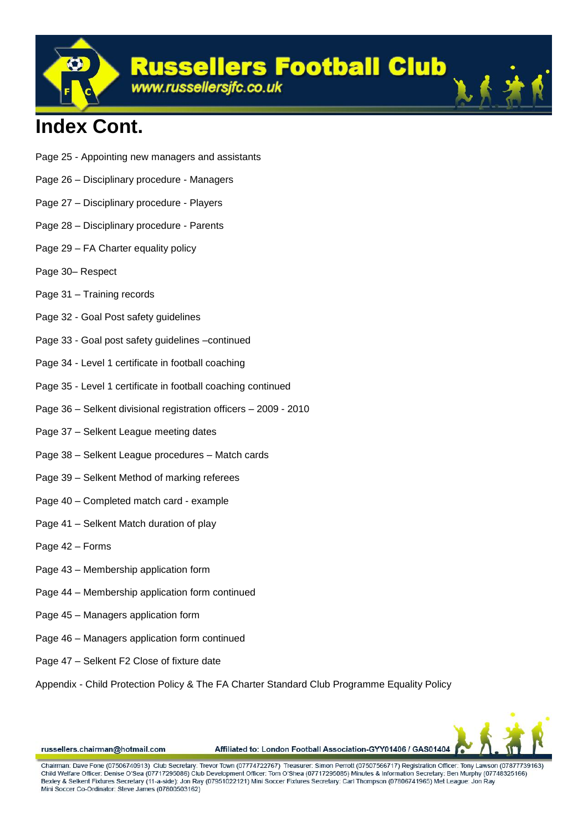**Russellers Football Club** 

www.russellersjfc.co.uk

## **Index Cont.**

- Page 25 Appointing new managers and assistants
- Page 26 Disciplinary procedure Managers
- Page 27 Disciplinary procedure Players
- Page 28 Disciplinary procedure Parents
- Page 29 FA Charter equality policy
- Page 30– Respect
- Page 31 Training records
- Page 32 Goal Post safety guidelines
- Page 33 Goal post safety guidelines –continued
- Page 34 Level 1 certificate in football coaching
- Page 35 Level 1 certificate in football coaching continued
- Page 36 Selkent divisional registration officers 2009 2010
- Page 37 Selkent League meeting dates
- Page 38 Selkent League procedures Match cards
- Page 39 Selkent Method of marking referees
- Page 40 Completed match card example
- Page 41 Selkent Match duration of play
- Page 42 Forms
- Page 43 Membership application form
- Page 44 Membership application form continued
- Page 45 Managers application form
- Page 46 Managers application form continued
- Page 47 Selkent F2 Close of fixture date
- Appendix Child Protection Policy & The FA Charter Standard Club Programme Equality Policy



russellers.chairman@hotmail.com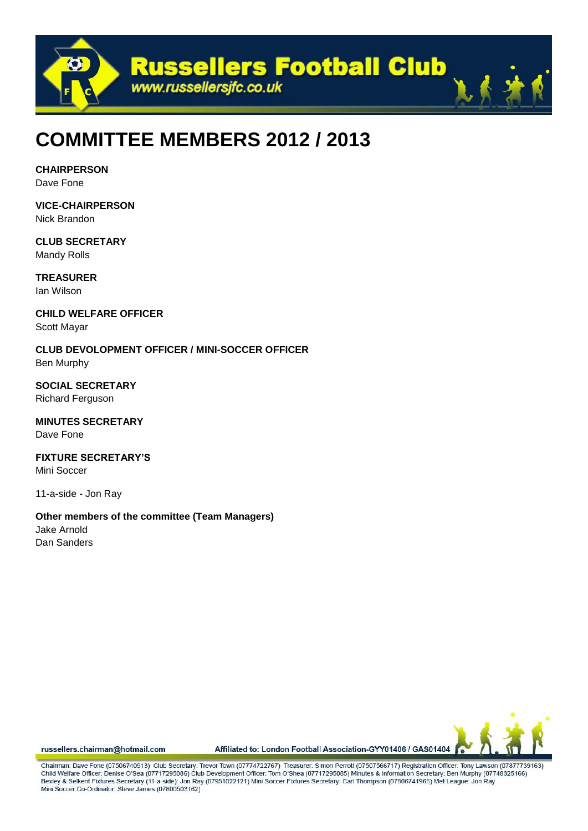

## **COMMITTEE MEMBERS 2012 / 2013**

**CHAIRPERSON**

Dave Fone

**VICE-CHAIRPERSON** Nick Brandon

**CLUB SECRETARY** Mandy Rolls

**TREASURER** Ian Wilson

**CHILD WELFARE OFFICER** Scott Mayar

**CLUB DEVOLOPMENT OFFICER / MINI-SOCCER OFFICER** Ben Murphy

**SOCIAL SECRETARY** Richard Ferguson

**MINUTES SECRETARY** Dave Fone

**FIXTURE SECRETARY'S** Mini Soccer

11-a-side - Jon Ray

**Other members of the committee (Team Managers)** Jake Arnold Dan Sanders



russellers.chairman@hotmail.com

Affiliated to: London Football Association-GYY01406 / GAS01404

Chairman: Dave Fone (07506740913) Club Secretary: Trevor Town (07774722767) Treasurer: Simon Perroff (07507566717) Registration Officer: Tony Lawson (07877739163) Child Welfare Officer: Denise O'Sea (07717295086) Club Development Officer: Tom O'Shea (07717295085) Minutes & Information Secretary: Ben Murphy (07748325166) Bexley & Selkent Fixtures Secretary (11-a-side): Jon Ray (07951022121) Mini Soccer Fixtures Secretary: Carl Thompson (07806741965) Met League: Jon Ray Mini Soccer Co-Ordinator: Steve James (07800503162)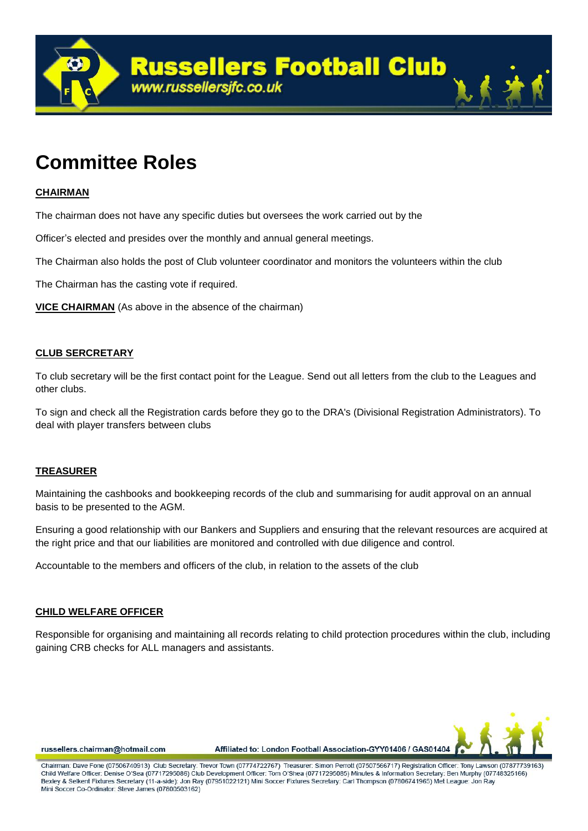

## **Committee Roles**

## **CHAIRMAN**

The chairman does not have any specific duties but oversees the work carried out by the

Officer's elected and presides over the monthly and annual general meetings.

The Chairman also holds the post of Club volunteer coordinator and monitors the volunteers within the club

The Chairman has the casting vote if required.

**VICE CHAIRMAN** (As above in the absence of the chairman)

## **CLUB SERCRETARY**

To club secretary will be the first contact point for the League. Send out all letters from the club to the Leagues and other clubs.

To sign and check all the Registration cards before they go to the DRA's (Divisional Registration Administrators). To deal with player transfers between clubs

### **TREASURER**

Maintaining the cashbooks and bookkeeping records of the club and summarising for audit approval on an annual basis to be presented to the AGM.

Ensuring a good relationship with our Bankers and Suppliers and ensuring that the relevant resources are acquired at the right price and that our liabilities are monitored and controlled with due diligence and control.

Accountable to the members and officers of the club, in relation to the assets of the club

## **CHILD WELFARE OFFICER**

Responsible for organising and maintaining all records relating to child protection procedures within the club, including gaining CRB checks for ALL managers and assistants.



russellers.chairman@hotmail.com

Affiliated to: London Football Association-GYY01406 / GAS01404

Chairman: Dave Fone (07506740913) Club Secretary: Trevor Town (07774722767) Treasurer: Simon Perroff (07507566717) Registration Officer: Tony Lawson (07877739163) Child Welfare Officer: Denise O'Sea (07717295086) Club Development Officer: Tom O'Shea (07717295085) Minutes & Information Secretary: Ben Murphy (07748325166) Bexley & Selkent Fixtures Secretary (11-a-side): Jon Ray (07951022121) Mini Soccer Fixtures Secretary: Carl Thompson (07806741965) Met League: Jon Ray Mini Soccer Co-Ordinator: Steve James (07800503162)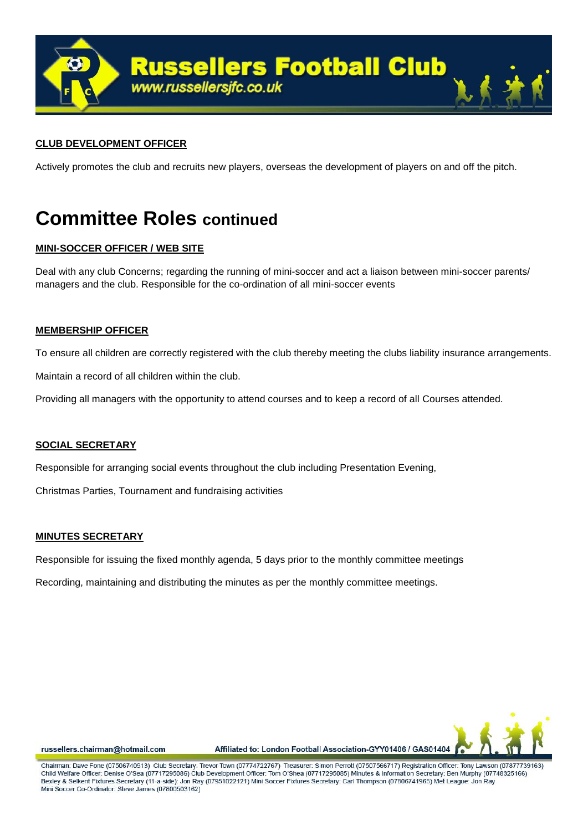

## **CLUB DEVELOPMENT OFFICER**

Actively promotes the club and recruits new players, overseas the development of players on and off the pitch.

## **Committee Roles continued**

## **MINI-SOCCER OFFICER / WEB SITE**

Deal with any club Concerns; regarding the running of mini-soccer and act a liaison between mini-soccer parents/ managers and the club. Responsible for the co-ordination of all mini-soccer events

### **MEMBERSHIP OFFICER**

To ensure all children are correctly registered with the club thereby meeting the clubs liability insurance arrangements.

Maintain a record of all children within the club.

Providing all managers with the opportunity to attend courses and to keep a record of all Courses attended.

### **SOCIAL SECRETARY**

Responsible for arranging social events throughout the club including Presentation Evening,

Christmas Parties, Tournament and fundraising activities

### **MINUTES SECRETARY**

Responsible for issuing the fixed monthly agenda, 5 days prior to the monthly committee meetings

Recording, maintaining and distributing the minutes as per the monthly committee meetings.



russellers.chairman@hotmail.com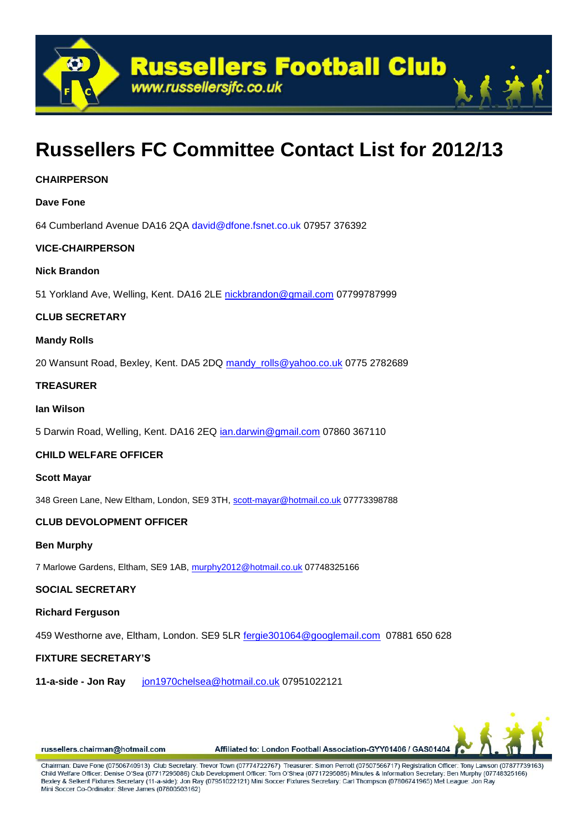

## **Russellers FC Committee Contact List for 2012/13**

## **CHAIRPERSON**

## **Dave Fone**

64 Cumberland Avenue DA16 2QA david@dfone.fsnet.co.uk 07957 376392

## **VICE-CHAIRPERSON**

### **Nick Brandon**

51 Yorkland Ave, Welling, Kent. DA16 2LE [nickbrandon@gmail.com](mailto:nickbrandon@gmail.com) 07799787999

### **CLUB SECRETARY**

### **Mandy Rolls**

20 Wansunt Road, Bexley, Kent. DA5 2DQ [mandy\\_rolls@yahoo.co.uk](mailto:mandy_rolls@yahoo.co.uk) 0775 2782689

### **TREASURER**

### **Ian Wilson**

5 Darwin Road, Welling, Kent. DA16 2EQ *ian.darwin@gmail.com 07860 367110* 

## **CHILD WELFARE OFFICER**

### **Scott Mayar**

348 Green Lane, New Eltham, London, SE9 3TH, [scott-mayar@hotmail.co.uk](mailto:scott-mayar@hotmail.co.uk) 07773398788

## **CLUB DEVOLOPMENT OFFICER**

### **Ben Murphy**

7 Marlowe Gardens, Eltham, SE9 1AB, [murphy2012@hotmail.co.uk](mailto:murphy2012@hotmail.co.uk) 07748325166

## **SOCIAL SECRETARY**

### **Richard Ferguson**

459 Westhorne ave, Eltham, London. SE9 5LR [fergie301064@googlemail.com](mailto:fergie301064@googlemail.com) 07881 650 628

## **FIXTURE SECRETARY'S**

**11-a-side - Jon Ray** [jon1970chelsea@hotmail.co.uk](mailto:jon1970chelsea@hotmail.co.uk) 07951022121



russellers.chairman@hotmail.com

Affiliated to: London Football Association-GYY01406 / GAS01404

Chairman: Dave Fone (07506740913) Club Secretary: Trevor Town (07774722767) Treasurer: Simon Perroff (07507566717) Registration Officer: Tony Lawson (07877739163) Child Welfare Officer: Denise O'Sea (07717295086) Club Development Officer: Tom O'Shea (07717295085) Minutes & Information Secretary: Ben Murphy (07748325166) Bexley & Selkent Fixtures Secretary (11-a-side): Jon Ray (07951022121) Mini Soccer Fixtures Secretary: Carl Thompson (07806741965) Met League: Jon Ray Mini Soccer Co-Ordinator: Steve James (07800503162)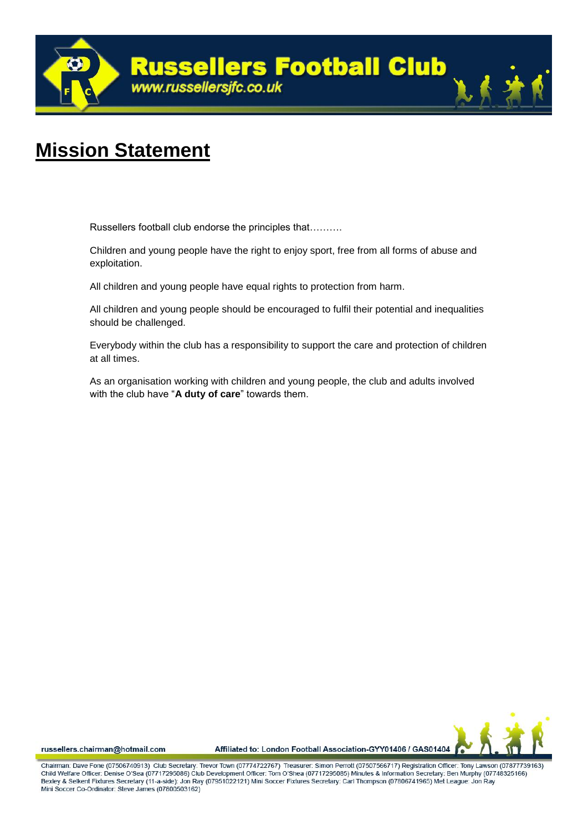

## **Mission Statement**

Russellers football club endorse the principles that……….

Children and young people have the right to enjoy sport, free from all forms of abuse and exploitation.

All children and young people have equal rights to protection from harm.

All children and young people should be encouraged to fulfil their potential and inequalities should be challenged.

Everybody within the club has a responsibility to support the care and protection of children at all times.

As an organisation working with children and young people, the club and adults involved with the club have "**A duty of care**" towards them.



russellers.chairman@hotmail.com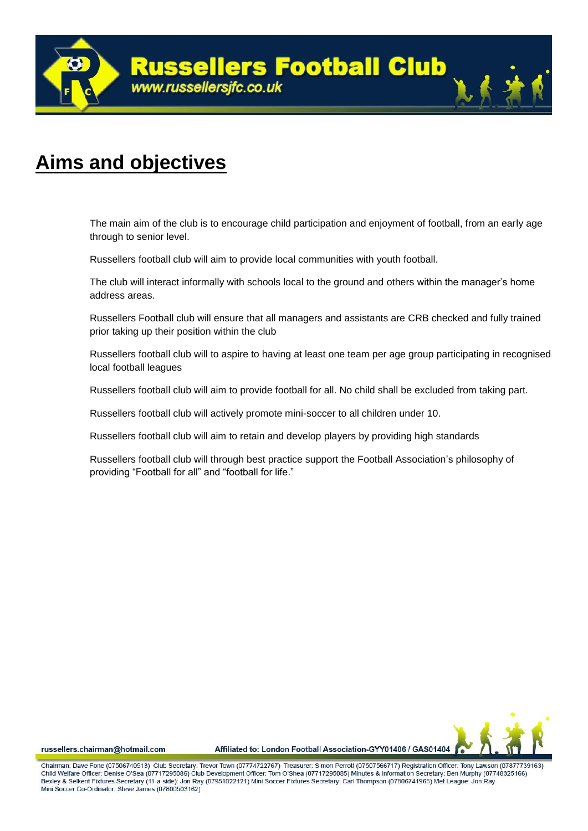

## **Aims and objectives**

The main aim of the club is to encourage child participation and enjoyment of football, from an early age through to senior level.

Russellers football club will aim to provide local communities with youth football.

The club will interact informally with schools local to the ground and others within the manager's home address areas.

Russellers Football club will ensure that all managers and assistants are CRB checked and fully trained prior taking up their position within the club

Russellers football club will to aspire to having at least one team per age group participating in recognised local football leagues

Russellers football club will aim to provide football for all. No child shall be excluded from taking part.

Russellers football club will actively promote mini-soccer to all children under 10.

Russellers football club will aim to retain and develop players by providing high standards

Russellers football club will through best practice support the Football Association's philosophy of providing "Football for all" and "football for life."

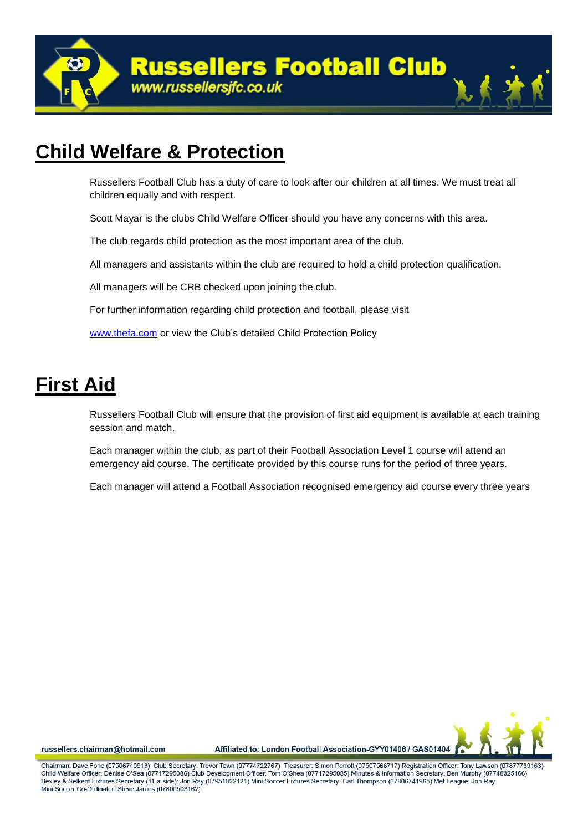

## **Child Welfare & Protection**

Russellers Football Club has a duty of care to look after our children at all times. We must treat all children equally and with respect.

Scott Mayar is the clubs Child Welfare Officer should you have any concerns with this area.

The club regards child protection as the most important area of the club.

All managers and assistants within the club are required to hold a child protection qualification.

All managers will be CRB checked upon joining the club.

For further information regarding child protection and football, please visit

[www.thefa.com](http://www.thefa.com/) or view the Club's detailed Child Protection Policy

## **First Aid**

Russellers Football Club will ensure that the provision of first aid equipment is available at each training session and match.

Each manager within the club, as part of their Football Association Level 1 course will attend an emergency aid course. The certificate provided by this course runs for the period of three years.

Each manager will attend a Football Association recognised emergency aid course every three years



russellers.chairman@hotmail.com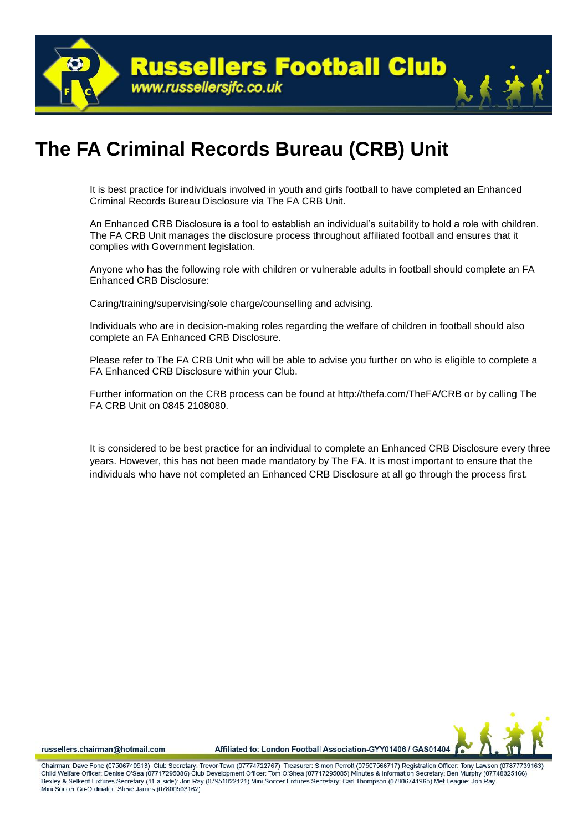

## **The FA Criminal Records Bureau (CRB) Unit**

It is best practice for individuals involved in youth and girls football to have completed an Enhanced Criminal Records Bureau Disclosure via The FA CRB Unit.

An Enhanced CRB Disclosure is a tool to establish an individual's suitability to hold a role with children. The FA CRB Unit manages the disclosure process throughout affiliated football and ensures that it complies with Government legislation.

Anyone who has the following role with children or vulnerable adults in football should complete an FA Enhanced CRB Disclosure:

Caring/training/supervising/sole charge/counselling and advising.

Individuals who are in decision-making roles regarding the welfare of children in football should also complete an FA Enhanced CRB Disclosure.

Please refer to The FA CRB Unit who will be able to advise you further on who is eligible to complete a FA Enhanced CRB Disclosure within your Club.

Further information on the CRB process can be found at http://thefa.com/TheFA/CRB or by calling The FA CRB Unit on 0845 2108080.

It is considered to be best practice for an individual to complete an Enhanced CRB Disclosure every three years. However, this has not been made mandatory by The FA. It is most important to ensure that the individuals who have not completed an Enhanced CRB Disclosure at all go through the process first.



russellers.chairman@hotmail.com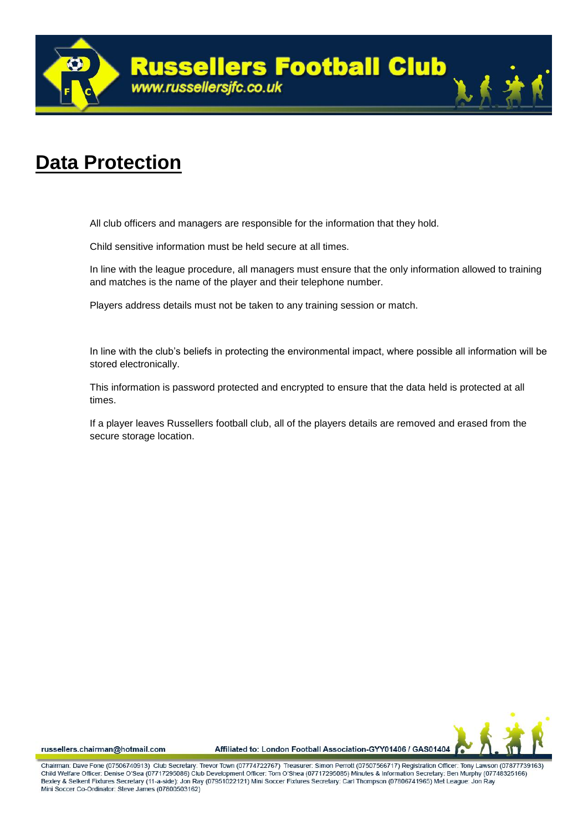

## **Data Protection**

All club officers and managers are responsible for the information that they hold.

Child sensitive information must be held secure at all times.

In line with the league procedure, all managers must ensure that the only information allowed to training and matches is the name of the player and their telephone number.

Players address details must not be taken to any training session or match.

In line with the club's beliefs in protecting the environmental impact, where possible all information will be stored electronically.

This information is password protected and encrypted to ensure that the data held is protected at all times.

If a player leaves Russellers football club, all of the players details are removed and erased from the secure storage location.



russellers.chairman@hotmail.com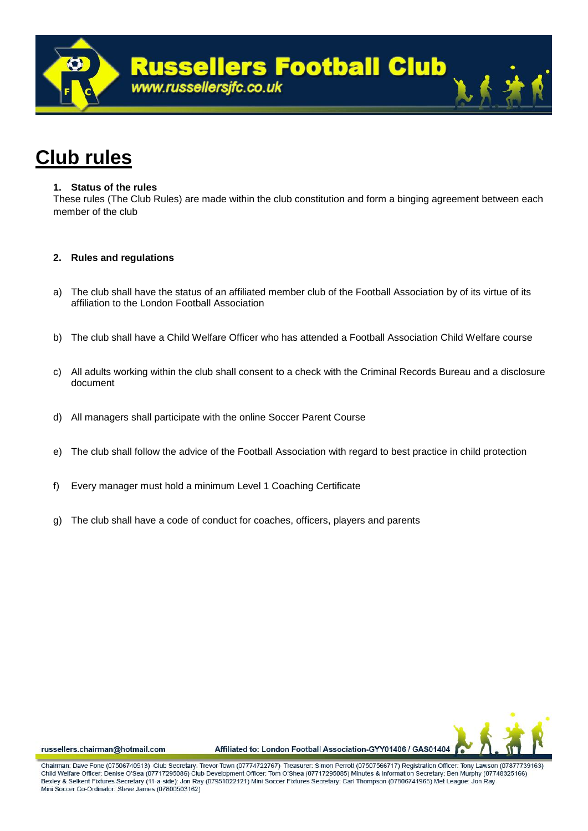

## **Club rules**

### **1. Status of the rules**

These rules (The Club Rules) are made within the club constitution and form a binging agreement between each member of the club

## **2. Rules and regulations**

- a) The club shall have the status of an affiliated member club of the Football Association by of its virtue of its affiliation to the London Football Association
- b) The club shall have a Child Welfare Officer who has attended a Football Association Child Welfare course
- c) All adults working within the club shall consent to a check with the Criminal Records Bureau and a disclosure document
- d) All managers shall participate with the online Soccer Parent Course
- e) The club shall follow the advice of the Football Association with regard to best practice in child protection
- f) Every manager must hold a minimum Level 1 Coaching Certificate
- g) The club shall have a code of conduct for coaches, officers, players and parents



russellers.chairman@hotmail.com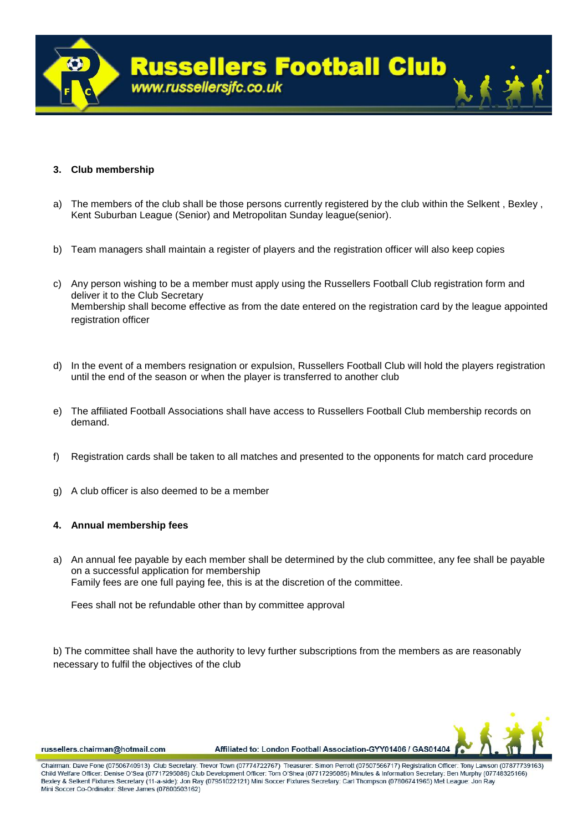

## **3. Club membership**

- a) The members of the club shall be those persons currently registered by the club within the Selkent , Bexley , Kent Suburban League (Senior) and Metropolitan Sunday league(senior).
- b) Team managers shall maintain a register of players and the registration officer will also keep copies
- c) Any person wishing to be a member must apply using the Russellers Football Club registration form and deliver it to the Club Secretary Membership shall become effective as from the date entered on the registration card by the league appointed registration officer
- d) In the event of a members resignation or expulsion, Russellers Football Club will hold the players registration until the end of the season or when the player is transferred to another club
- e) The affiliated Football Associations shall have access to Russellers Football Club membership records on demand.
- f) Registration cards shall be taken to all matches and presented to the opponents for match card procedure
- g) A club officer is also deemed to be a member

## **4. Annual membership fees**

a) An annual fee payable by each member shall be determined by the club committee, any fee shall be payable on a successful application for membership Family fees are one full paying fee, this is at the discretion of the committee.

Fees shall not be refundable other than by committee approval

b) The committee shall have the authority to levy further subscriptions from the members as are reasonably necessary to fulfil the objectives of the club



russellers.chairman@hotmail.com

Chairman: Dave Fone (07506740913) Club Secretary: Trevor Town (07774722767) Treasurer: Simon Perroff (07507566717) Registration Officer: Tony Lawson (07877739163) Child Welfare Officer: Denise O'Sea (07717295086) Club Development Officer: Tom O'Shea (07717295085) Minutes & Information Secretary: Ben Murphy (07748325166) Bexley & Selkent Fixtures Secretary (11-a-side): Jon Ray (07951022121) Mini Soccer Fixtures Secretary: Carl Thompson (07806741965) Met League: Jon Ray Mini Soccer Co-Ordinator: Steve James (07800503162)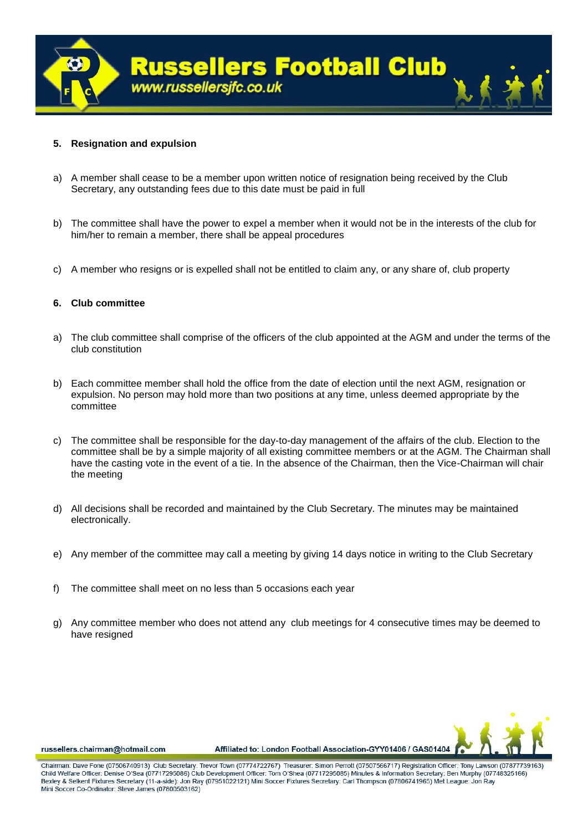

### **5. Resignation and expulsion**

- a) A member shall cease to be a member upon written notice of resignation being received by the Club Secretary, any outstanding fees due to this date must be paid in full
- b) The committee shall have the power to expel a member when it would not be in the interests of the club for him/her to remain a member, there shall be appeal procedures
- c) A member who resigns or is expelled shall not be entitled to claim any, or any share of, club property

### **6. Club committee**

- a) The club committee shall comprise of the officers of the club appointed at the AGM and under the terms of the club constitution
- b) Each committee member shall hold the office from the date of election until the next AGM, resignation or expulsion. No person may hold more than two positions at any time, unless deemed appropriate by the committee
- c) The committee shall be responsible for the day-to-day management of the affairs of the club. Election to the committee shall be by a simple majority of all existing committee members or at the AGM. The Chairman shall have the casting vote in the event of a tie. In the absence of the Chairman, then the Vice-Chairman will chair the meeting
- d) All decisions shall be recorded and maintained by the Club Secretary. The minutes may be maintained electronically.
- e) Any member of the committee may call a meeting by giving 14 days notice in writing to the Club Secretary
- f) The committee shall meet on no less than 5 occasions each year
- g) Any committee member who does not attend any club meetings for 4 consecutive times may be deemed to have resigned



russellers.chairman@hotmail.com

Chairman: Dave Fone (07506740913) Club Secretary: Trevor Town (07774722767) Treasurer: Simon Perroff (07507566717) Registration Officer: Tony Lawson (07877739163) Child Welfare Officer: Denise O'Sea (07717295086) Club Development Officer: Tom O'Shea (07717295085) Minutes & Information Secretary: Ben Murphy (07748325166) Bexley & Selkent Fixtures Secretary (11-a-side): Jon Ray (07951022121) Mini Soccer Fixtures Secretary: Carl Thompson (07806741965) Met League: Jon Ray Mini Soccer Co-Ordinator: Steve James (07800503162)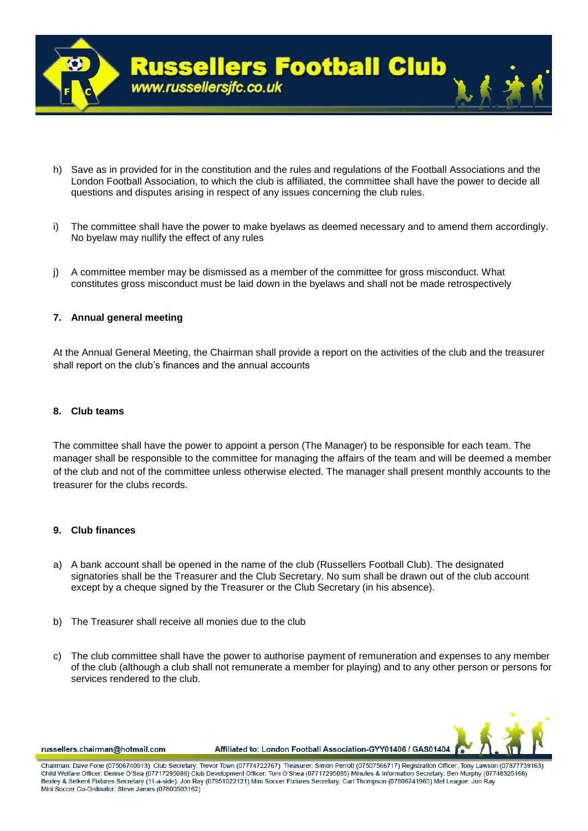

- h) Save as in provided for in the constitution and the rules and regulations of the Football Associations and the London Football Association, to which the club is affiliated, the committee shall have the power to decide all questions and disputes arising in respect of any issues concerning the club rules.
- i) The committee shall have the power to make byelaws as deemed necessary and to amend them accordingly. No byelaw may nullify the effect of any rules
- j) A committee member may be dismissed as a member of the committee for gross misconduct. What constitutes gross misconduct must be laid down in the byelaws and shall not be made retrospectively

### **7. Annual general meeting**

At the Annual General Meeting, the Chairman shall provide a report on the activities of the club and the treasurer shall report on the club's finances and the annual accounts

### **8. Club teams**

The committee shall have the power to appoint a person (The Manager) to be responsible for each team. The manager shall be responsible to the committee for managing the affairs of the team and will be deemed a member of the club and not of the committee unless otherwise elected. The manager shall present monthly accounts to the treasurer for the clubs records.

### **9. Club finances**

- a) A bank account shall be opened in the name of the club (Russellers Football Club). The designated signatories shall be the Treasurer and the Club Secretary. No sum shall be drawn out of the club account except by a cheque signed by the Treasurer or the Club Secretary (in his absence).
- b) The Treasurer shall receive all monies due to the club
- c) The club committee shall have the power to authorise payment of remuneration and expenses to any member of the club (although a club shall not remunerate a member for playing) and to any other person or persons for services rendered to the club.



russellers.chairman@hotmail.com

Affiliated to: London Football Association-GYY01406 / GAS01404

Chairman: Dave Fone (07506740913) Club Secretary: Trevor Town (07774722767) Treasurer: Simon Perroff (07507566717) Registration Officer: Tony Lawson (07877739163) Child Welfare Officer: Denise O'Sea (07717295086) Club Development Officer: Tom O'Shea (07717295085) Minutes & Information Secretary: Ben Murphy (07748325166) Bexley & Selkent Fixtures Secretary (11-a-side): Jon Ray (07951022121) Mini Soccer Fixtures Secretary: Carl Thompson (07806741965) Met League: Jon Ray Mini Soccer Co-Ordinator: Steve James (07800503162)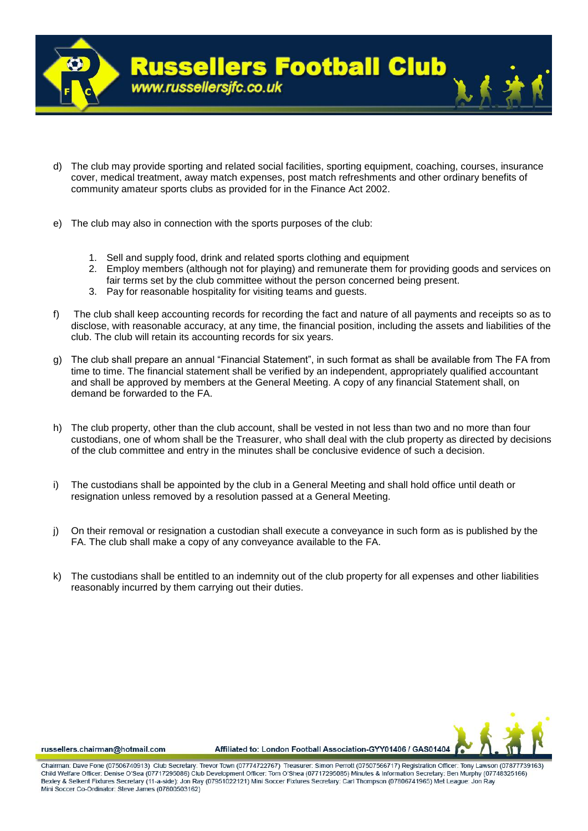

- d) The club may provide sporting and related social facilities, sporting equipment, coaching, courses, insurance cover, medical treatment, away match expenses, post match refreshments and other ordinary benefits of community amateur sports clubs as provided for in the Finance Act 2002.
- e) The club may also in connection with the sports purposes of the club:
	- 1. Sell and supply food, drink and related sports clothing and equipment
	- 2. Employ members (although not for playing) and remunerate them for providing goods and services on fair terms set by the club committee without the person concerned being present.
	- 3. Pay for reasonable hospitality for visiting teams and guests.
- f) The club shall keep accounting records for recording the fact and nature of all payments and receipts so as to disclose, with reasonable accuracy, at any time, the financial position, including the assets and liabilities of the club. The club will retain its accounting records for six years.
- g) The club shall prepare an annual "Financial Statement", in such format as shall be available from The FA from time to time. The financial statement shall be verified by an independent, appropriately qualified accountant and shall be approved by members at the General Meeting. A copy of any financial Statement shall, on demand be forwarded to the FA.
- h) The club property, other than the club account, shall be vested in not less than two and no more than four custodians, one of whom shall be the Treasurer, who shall deal with the club property as directed by decisions of the club committee and entry in the minutes shall be conclusive evidence of such a decision.
- i) The custodians shall be appointed by the club in a General Meeting and shall hold office until death or resignation unless removed by a resolution passed at a General Meeting.
- j) On their removal or resignation a custodian shall execute a conveyance in such form as is published by the FA. The club shall make a copy of any conveyance available to the FA.
- k) The custodians shall be entitled to an indemnity out of the club property for all expenses and other liabilities reasonably incurred by them carrying out their duties.



russellers.chairman@hotmail.com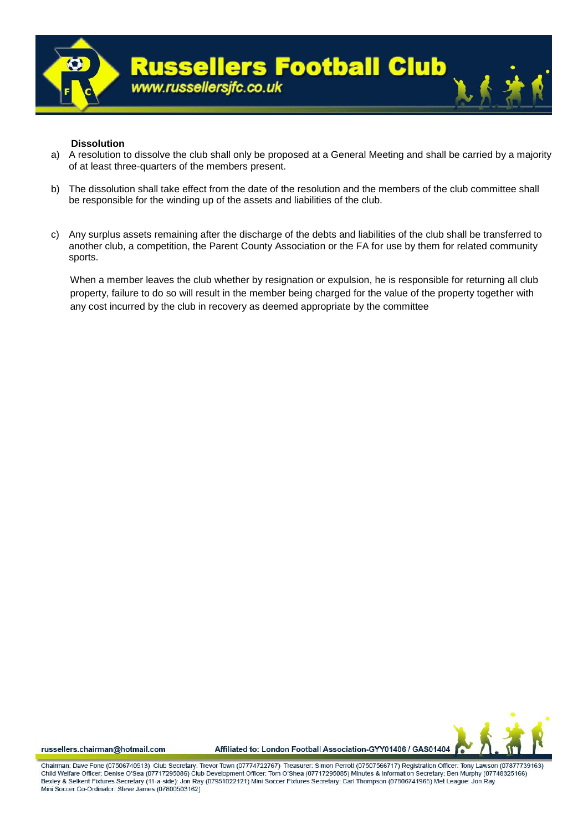

### **Dissolution**

- a) A resolution to dissolve the club shall only be proposed at a General Meeting and shall be carried by a majority of at least three-quarters of the members present.
- b) The dissolution shall take effect from the date of the resolution and the members of the club committee shall be responsible for the winding up of the assets and liabilities of the club.
- c) Any surplus assets remaining after the discharge of the debts and liabilities of the club shall be transferred to another club, a competition, the Parent County Association or the FA for use by them for related community sports.

When a member leaves the club whether by resignation or expulsion, he is responsible for returning all club property, failure to do so will result in the member being charged for the value of the property together with any cost incurred by the club in recovery as deemed appropriate by the committee



russellers.chairman@hotmail.com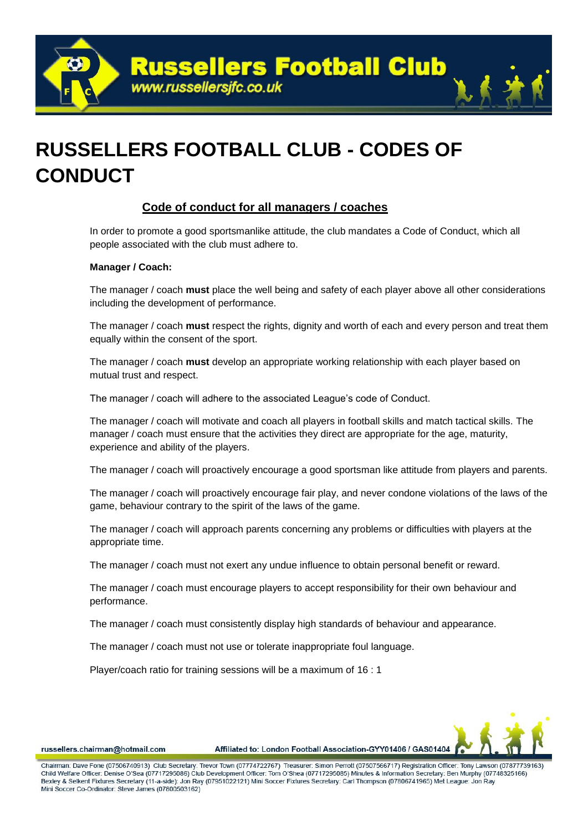**Russellers Football Club** www.russellersjfc.co.uk

## **RUSSELLERS FOOTBALL CLUB - CODES OF CONDUCT**

## **Code of conduct for all managers / coaches**

In order to promote a good sportsmanlike attitude, the club mandates a Code of Conduct, which all people associated with the club must adhere to.

## **Manager / Coach:**

The manager / coach **must** place the well being and safety of each player above all other considerations including the development of performance.

The manager / coach **must** respect the rights, dignity and worth of each and every person and treat them equally within the consent of the sport.

The manager / coach **must** develop an appropriate working relationship with each player based on mutual trust and respect.

The manager / coach will adhere to the associated League's code of Conduct.

The manager / coach will motivate and coach all players in football skills and match tactical skills. The manager / coach must ensure that the activities they direct are appropriate for the age, maturity, experience and ability of the players.

The manager / coach will proactively encourage a good sportsman like attitude from players and parents.

The manager / coach will proactively encourage fair play, and never condone violations of the laws of the game, behaviour contrary to the spirit of the laws of the game.

The manager / coach will approach parents concerning any problems or difficulties with players at the appropriate time.

The manager / coach must not exert any undue influence to obtain personal benefit or reward.

The manager / coach must encourage players to accept responsibility for their own behaviour and performance.

The manager / coach must consistently display high standards of behaviour and appearance.

The manager / coach must not use or tolerate inappropriate foul language.

Player/coach ratio for training sessions will be a maximum of 16 : 1



russellers.chairman@hotmail.com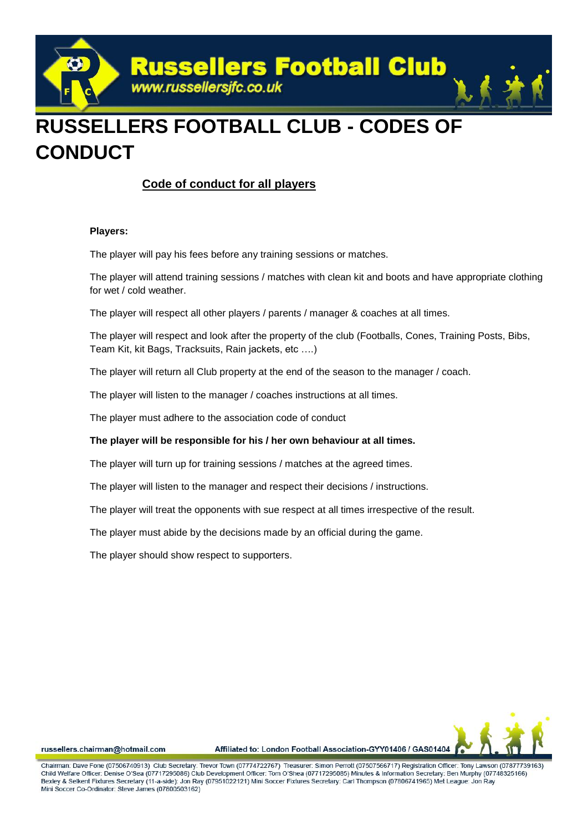

## **RUSSELLERS FOOTBALL CLUB - CODES OF CONDUCT**

## **Code of conduct for all players**

### **Players:**

The player will pay his fees before any training sessions or matches.

The player will attend training sessions / matches with clean kit and boots and have appropriate clothing for wet / cold weather.

The player will respect all other players / parents / manager & coaches at all times.

The player will respect and look after the property of the club (Footballs, Cones, Training Posts, Bibs, Team Kit, kit Bags, Tracksuits, Rain jackets, etc ….)

The player will return all Club property at the end of the season to the manager / coach.

The player will listen to the manager / coaches instructions at all times.

The player must adhere to the association code of conduct

## **The player will be responsible for his / her own behaviour at all times.**

The player will turn up for training sessions / matches at the agreed times.

The player will listen to the manager and respect their decisions / instructions.

The player will treat the opponents with sue respect at all times irrespective of the result.

The player must abide by the decisions made by an official during the game.

The player should show respect to supporters.



russellers.chairman@hotmail.com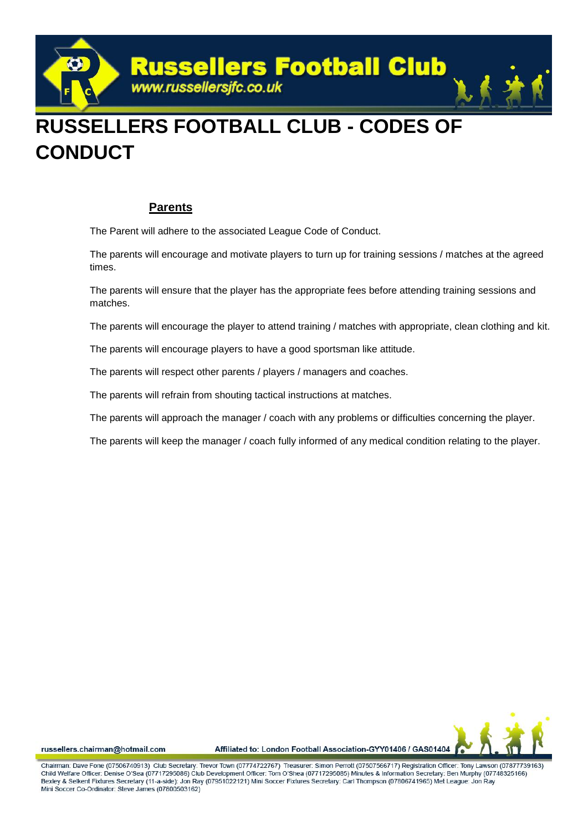

## **RUSSELLERS FOOTBALL CLUB - CODES OF CONDUCT**

## **Parents**

The Parent will adhere to the associated League Code of Conduct.

The parents will encourage and motivate players to turn up for training sessions / matches at the agreed times.

The parents will ensure that the player has the appropriate fees before attending training sessions and matches.

The parents will encourage the player to attend training / matches with appropriate, clean clothing and kit.

The parents will encourage players to have a good sportsman like attitude.

The parents will respect other parents / players / managers and coaches.

The parents will refrain from shouting tactical instructions at matches.

The parents will approach the manager / coach with any problems or difficulties concerning the player.

The parents will keep the manager / coach fully informed of any medical condition relating to the player.



russellers.chairman@hotmail.com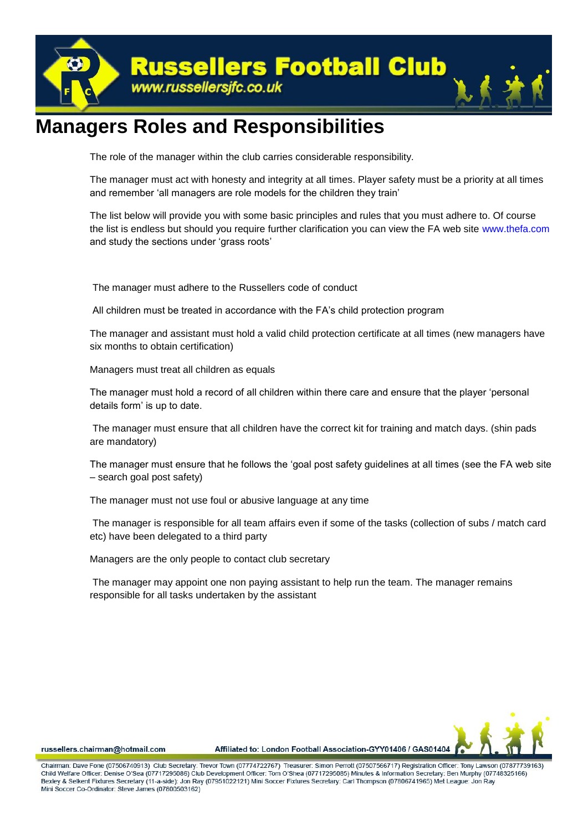

## **Managers Roles and Responsibilities**

The role of the manager within the club carries considerable responsibility.

The manager must act with honesty and integrity at all times. Player safety must be a priority at all times and remember 'all managers are role models for the children they train'

The list below will provide you with some basic principles and rules that you must adhere to. Of course the list is endless but should you require further clarification you can view the FA web site www.thefa.com and study the sections under 'grass roots'

The manager must adhere to the Russellers code of conduct

All children must be treated in accordance with the FA's child protection program

The manager and assistant must hold a valid child protection certificate at all times (new managers have six months to obtain certification)

Managers must treat all children as equals

The manager must hold a record of all children within there care and ensure that the player 'personal details form' is up to date.

The manager must ensure that all children have the correct kit for training and match days. (shin pads are mandatory)

The manager must ensure that he follows the 'goal post safety guidelines at all times (see the FA web site – search goal post safety)

The manager must not use foul or abusive language at any time

The manager is responsible for all team affairs even if some of the tasks (collection of subs / match card etc) have been delegated to a third party

Managers are the only people to contact club secretary

The manager may appoint one non paying assistant to help run the team. The manager remains responsible for all tasks undertaken by the assistant



russellers.chairman@hotmail.com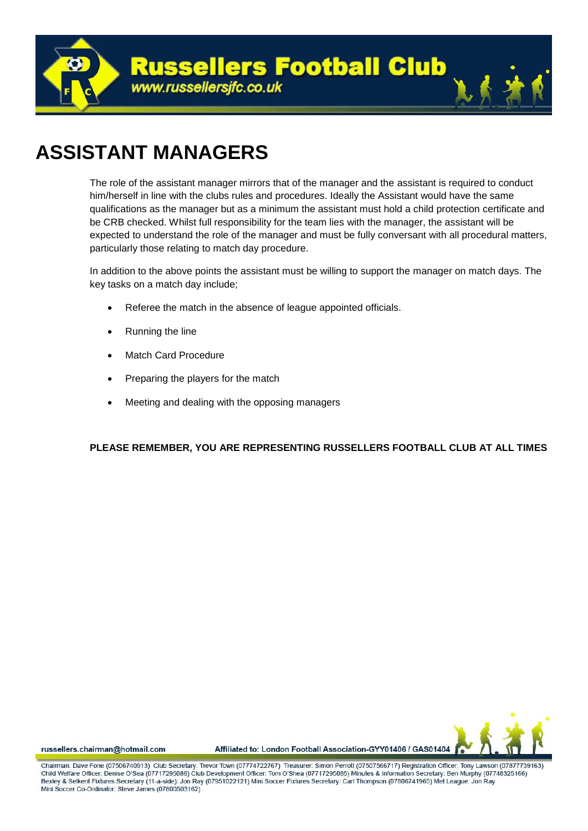

## **ASSISTANT MANAGERS**

The role of the assistant manager mirrors that of the manager and the assistant is required to conduct him/herself in line with the clubs rules and procedures. Ideally the Assistant would have the same qualifications as the manager but as a minimum the assistant must hold a child protection certificate and be CRB checked. Whilst full responsibility for the team lies with the manager, the assistant will be expected to understand the role of the manager and must be fully conversant with all procedural matters, particularly those relating to match day procedure.

In addition to the above points the assistant must be willing to support the manager on match days. The key tasks on a match day include;

- Referee the match in the absence of league appointed officials.
- Running the line
- Match Card Procedure
- Preparing the players for the match
- Meeting and dealing with the opposing managers

## **PLEASE REMEMBER, YOU ARE REPRESENTING RUSSELLERS FOOTBALL CLUB AT ALL TIMES**



russellers.chairman@hotmail.com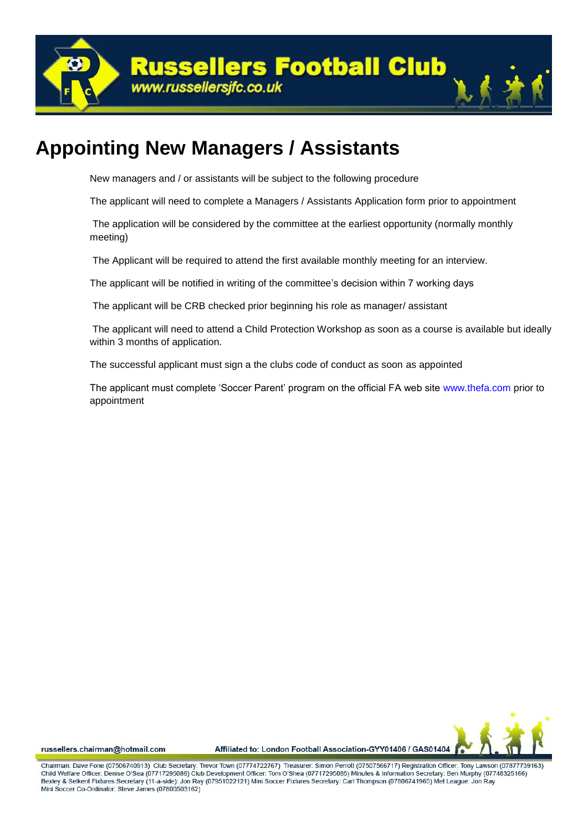**Russellers Football Club** www.russellersjfc.co.uk

## **Appointing New Managers / Assistants**

New managers and / or assistants will be subject to the following procedure

The applicant will need to complete a Managers / Assistants Application form prior to appointment

The application will be considered by the committee at the earliest opportunity (normally monthly meeting)

The Applicant will be required to attend the first available monthly meeting for an interview.

The applicant will be notified in writing of the committee's decision within 7 working days

The applicant will be CRB checked prior beginning his role as manager/ assistant

The applicant will need to attend a Child Protection Workshop as soon as a course is available but ideally within 3 months of application.

The successful applicant must sign a the clubs code of conduct as soon as appointed

The applicant must complete 'Soccer Parent' program on the official FA web site www.thefa.com prior to appointment



russellers.chairman@hotmail.com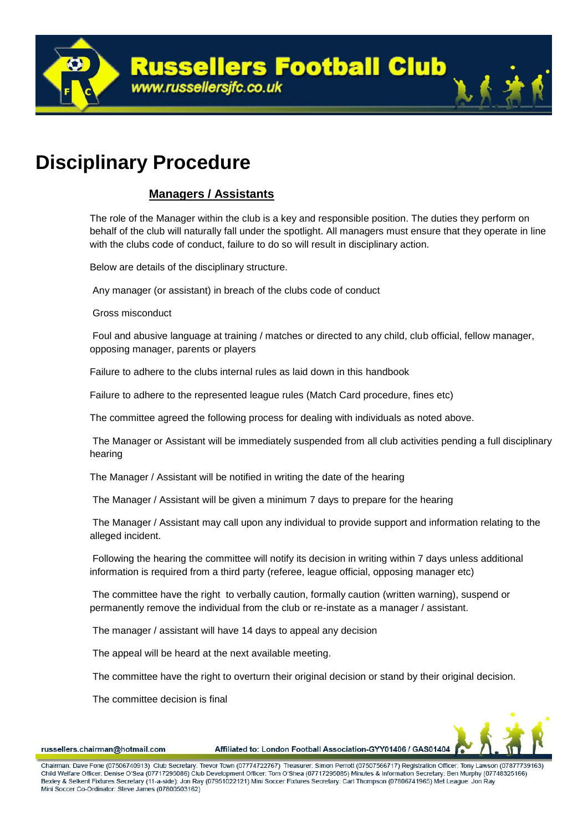**Russellers Football Club** www.russellersjfc.co.uk

## **Disciplinary Procedure**

## **Managers / Assistants**

The role of the Manager within the club is a key and responsible position. The duties they perform on behalf of the club will naturally fall under the spotlight. All managers must ensure that they operate in line with the clubs code of conduct, failure to do so will result in disciplinary action.

Below are details of the disciplinary structure.

Any manager (or assistant) in breach of the clubs code of conduct

Gross misconduct

Foul and abusive language at training / matches or directed to any child, club official, fellow manager, opposing manager, parents or players

Failure to adhere to the clubs internal rules as laid down in this handbook

Failure to adhere to the represented league rules (Match Card procedure, fines etc)

The committee agreed the following process for dealing with individuals as noted above.

The Manager or Assistant will be immediately suspended from all club activities pending a full disciplinary hearing

The Manager / Assistant will be notified in writing the date of the hearing

The Manager / Assistant will be given a minimum 7 days to prepare for the hearing

The Manager / Assistant may call upon any individual to provide support and information relating to the alleged incident.

Following the hearing the committee will notify its decision in writing within 7 days unless additional information is required from a third party (referee, league official, opposing manager etc)

The committee have the right to verbally caution, formally caution (written warning), suspend or permanently remove the individual from the club or re-instate as a manager / assistant.

The manager / assistant will have 14 days to appeal any decision

The appeal will be heard at the next available meeting.

The committee have the right to overturn their original decision or stand by their original decision.

The committee decision is final



russellers.chairman@hotmail.com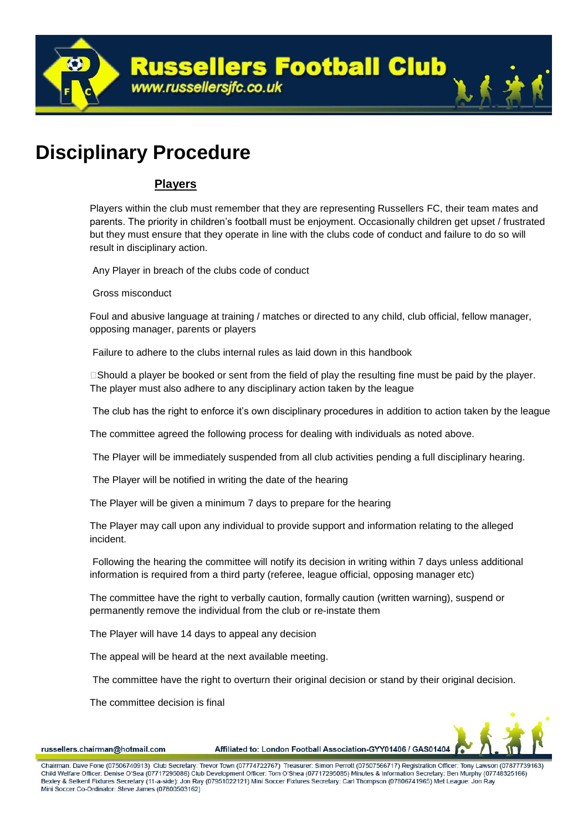

## **Disciplinary Procedure**

## **Players**

Players within the club must remember that they are representing Russellers FC, their team mates and parents. The priority in children's football must be enjoyment. Occasionally children get upset / frustrated but they must ensure that they operate in line with the clubs code of conduct and failure to do so will result in disciplinary action.

Any Player in breach of the clubs code of conduct

Gross misconduct

Foul and abusive language at training / matches or directed to any child, club official, fellow manager, opposing manager, parents or players

Failure to adhere to the clubs internal rules as laid down in this handbook

 $\square$ Should a player be booked or sent from the field of play the resulting fine must be paid by the player. The player must also adhere to any disciplinary action taken by the league

The club has the right to enforce it's own disciplinary procedures in addition to action taken by the league

The committee agreed the following process for dealing with individuals as noted above.

The Player will be immediately suspended from all club activities pending a full disciplinary hearing.

The Player will be notified in writing the date of the hearing

The Player will be given a minimum 7 days to prepare for the hearing

The Player may call upon any individual to provide support and information relating to the alleged incident.

Following the hearing the committee will notify its decision in writing within 7 days unless additional information is required from a third party (referee, league official, opposing manager etc)

The committee have the right to verbally caution, formally caution (written warning), suspend or permanently remove the individual from the club or re-instate them

The Player will have 14 days to appeal any decision

The appeal will be heard at the next available meeting.

The committee have the right to overturn their original decision or stand by their original decision.

The committee decision is final



russellers.chairman@hotmail.com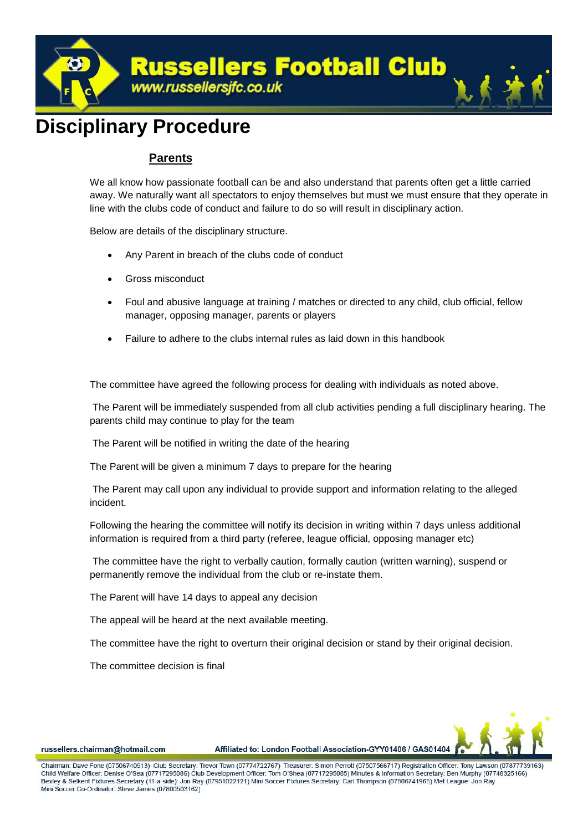

## **Disciplinary Procedure**

## **Parents**

We all know how passionate football can be and also understand that parents often get a little carried away. We naturally want all spectators to enjoy themselves but must we must ensure that they operate in line with the clubs code of conduct and failure to do so will result in disciplinary action.

Below are details of the disciplinary structure.

- Any Parent in breach of the clubs code of conduct
- Gross misconduct
- Foul and abusive language at training / matches or directed to any child, club official, fellow manager, opposing manager, parents or players
- Failure to adhere to the clubs internal rules as laid down in this handbook

The committee have agreed the following process for dealing with individuals as noted above.

The Parent will be immediately suspended from all club activities pending a full disciplinary hearing. The parents child may continue to play for the team

The Parent will be notified in writing the date of the hearing

The Parent will be given a minimum 7 days to prepare for the hearing

The Parent may call upon any individual to provide support and information relating to the alleged incident.

Following the hearing the committee will notify its decision in writing within 7 days unless additional information is required from a third party (referee, league official, opposing manager etc)

The committee have the right to verbally caution, formally caution (written warning), suspend or permanently remove the individual from the club or re-instate them.

The Parent will have 14 days to appeal any decision

The appeal will be heard at the next available meeting.

The committee have the right to overturn their original decision or stand by their original decision.

The committee decision is final



russellers.chairman@hotmail.com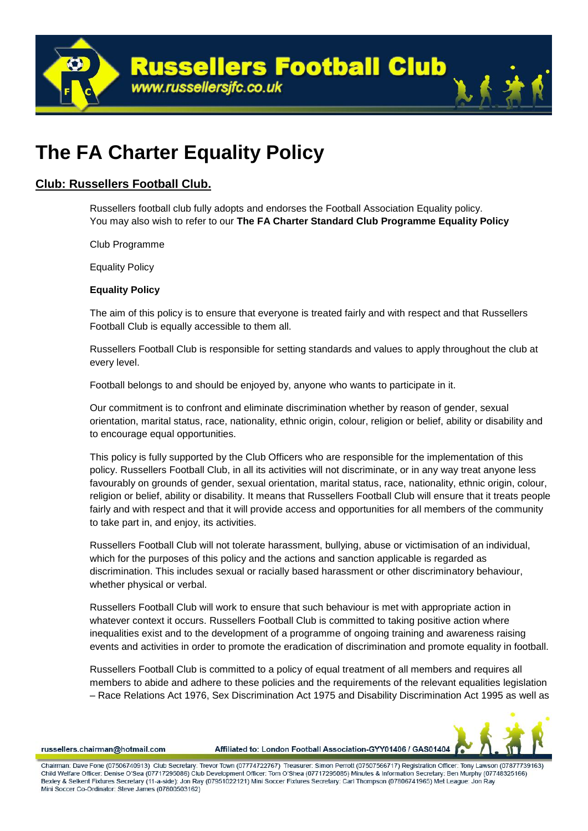

## **The FA Charter Equality Policy**

## **Club: Russellers Football Club.**

Russellers football club fully adopts and endorses the Football Association Equality policy. You may also wish to refer to our **The FA Charter Standard Club Programme Equality Policy**

Club Programme

Equality Policy

### **Equality Policy**

The aim of this policy is to ensure that everyone is treated fairly and with respect and that Russellers Football Club is equally accessible to them all.

Russellers Football Club is responsible for setting standards and values to apply throughout the club at every level.

Football belongs to and should be enjoyed by, anyone who wants to participate in it.

Our commitment is to confront and eliminate discrimination whether by reason of gender, sexual orientation, marital status, race, nationality, ethnic origin, colour, religion or belief, ability or disability and to encourage equal opportunities.

This policy is fully supported by the Club Officers who are responsible for the implementation of this policy. Russellers Football Club, in all its activities will not discriminate, or in any way treat anyone less favourably on grounds of gender, sexual orientation, marital status, race, nationality, ethnic origin, colour, religion or belief, ability or disability. It means that Russellers Football Club will ensure that it treats people fairly and with respect and that it will provide access and opportunities for all members of the community to take part in, and enjoy, its activities.

Russellers Football Club will not tolerate harassment, bullying, abuse or victimisation of an individual, which for the purposes of this policy and the actions and sanction applicable is regarded as discrimination. This includes sexual or racially based harassment or other discriminatory behaviour, whether physical or verbal.

Russellers Football Club will work to ensure that such behaviour is met with appropriate action in whatever context it occurs. Russellers Football Club is committed to taking positive action where inequalities exist and to the development of a programme of ongoing training and awareness raising events and activities in order to promote the eradication of discrimination and promote equality in football.

Russellers Football Club is committed to a policy of equal treatment of all members and requires all members to abide and adhere to these policies and the requirements of the relevant equalities legislation – Race Relations Act 1976, Sex Discrimination Act 1975 and Disability Discrimination Act 1995 as well as



russellers.chairman@hotmail.com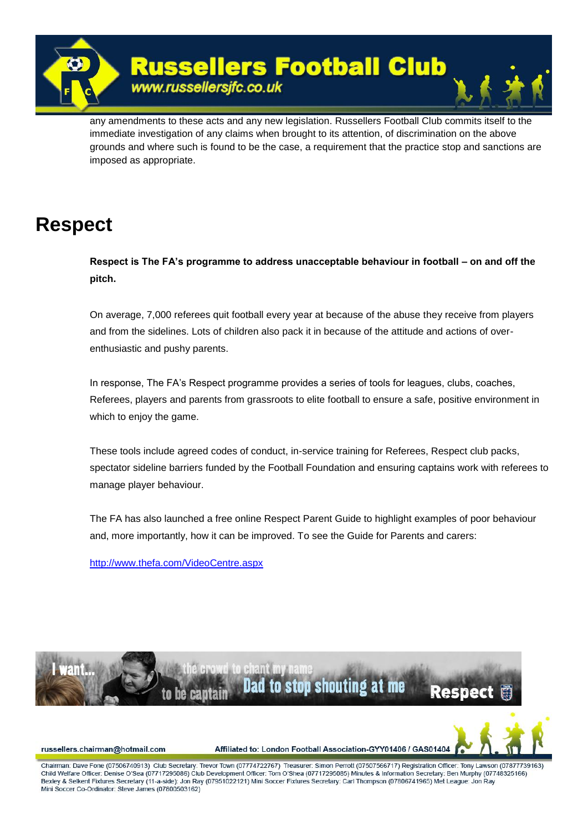

any amendments to these acts and any new legislation. Russellers Football Club commits itself to the immediate investigation of any claims when brought to its attention, of discrimination on the above grounds and where such is found to be the case, a requirement that the practice stop and sanctions are imposed as appropriate.

## **Respect**

**Respect is The FA's programme to address unacceptable behaviour in football – on and off the pitch.**

On average, 7,000 referees quit football every year at because of the abuse they receive from players and from the sidelines. Lots of children also pack it in because of the attitude and actions of overenthusiastic and pushy parents.

In response, The FA's Respect programme provides a series of tools for leagues, clubs, coaches, Referees, players and parents from grassroots to elite football to ensure a safe, positive environment in which to enjoy the game.

These tools include agreed codes of conduct, in-service training for Referees, Respect club packs, spectator sideline barriers funded by the Football Foundation and ensuring captains work with referees to manage player behaviour.

The FA has also launched a free online Respect Parent Guide to highlight examples of poor behaviour and, more importantly, how it can be improved. To see the Guide for Parents and carers:

<http://www.thefa.com/VideoCentre.aspx>



russellers.chairman@hotmail.com

Affiliated to: London Football Association-GYY01406 / GAS01404

Chairman: Dave Fone (07506740913) Club Secretary: Trevor Town (07774722767) Treasurer: Simon Perroff (07507566717) Registration Officer: Tony Lawson (07877739163) Child Welfare Officer: Denise O'Sea (07717295086) Club Development Officer: Tom O'Shea (07717295085) Minutes & Information Secretary: Ben Murphy (07748325166) Bexley & Selkent Fixtures Secretary (11-a-side): Jon Ray (07951022121) Mini Soccer Fixtures Secretary: Carl Thompson (07806741965) Met League: Jon Ray Mini Soccer Co-Ordinator: Steve James (07800503162)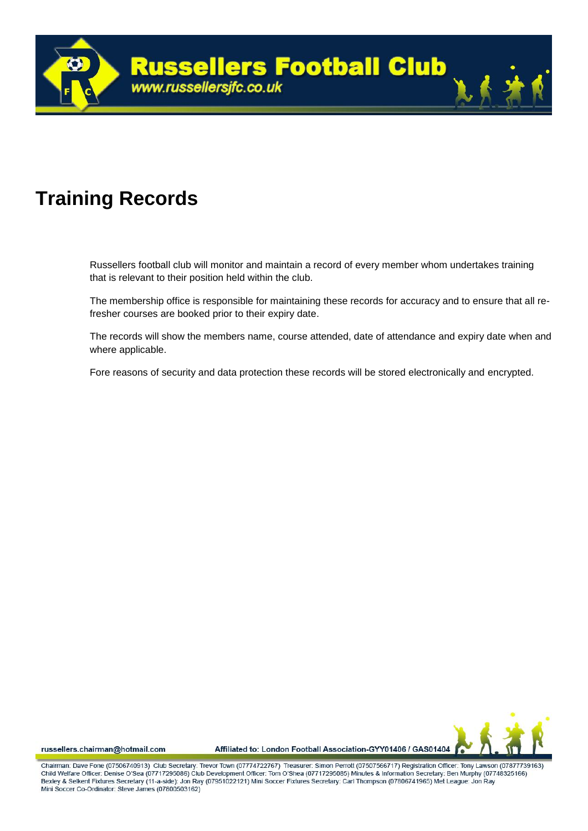

## **Training Records**

Russellers football club will monitor and maintain a record of every member whom undertakes training that is relevant to their position held within the club.

The membership office is responsible for maintaining these records for accuracy and to ensure that all refresher courses are booked prior to their expiry date.

The records will show the members name, course attended, date of attendance and expiry date when and where applicable.

Fore reasons of security and data protection these records will be stored electronically and encrypted.



russellers.chairman@hotmail.com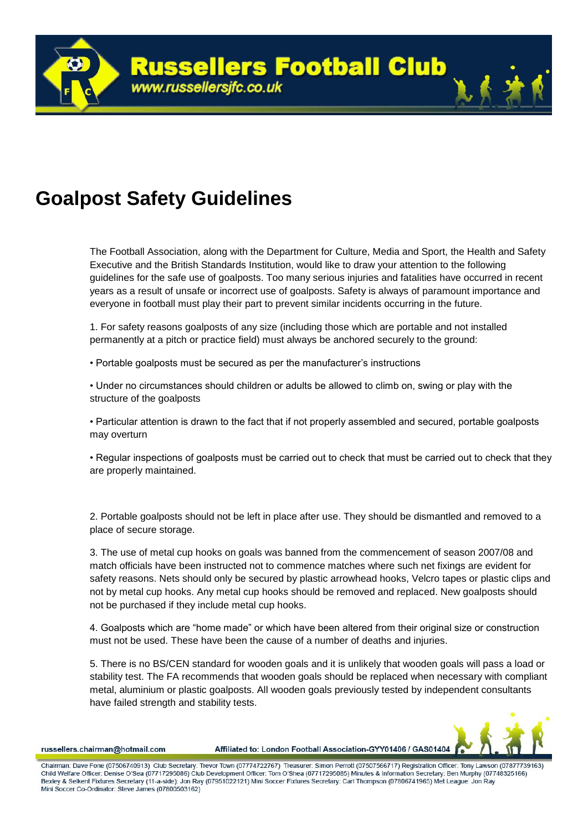## **Goalpost Safety Guidelines**

The Football Association, along with the Department for Culture, Media and Sport, the Health and Safety Executive and the British Standards Institution, would like to draw your attention to the following guidelines for the safe use of goalposts. Too many serious injuries and fatalities have occurred in recent years as a result of unsafe or incorrect use of goalposts. Safety is always of paramount importance and everyone in football must play their part to prevent similar incidents occurring in the future.

1. For safety reasons goalposts of any size (including those which are portable and not installed permanently at a pitch or practice field) must always be anchored securely to the ground:

• Portable goalposts must be secured as per the manufacturer's instructions

• Under no circumstances should children or adults be allowed to climb on, swing or play with the structure of the goalposts

• Particular attention is drawn to the fact that if not properly assembled and secured, portable goalposts may overturn

• Regular inspections of goalposts must be carried out to check that must be carried out to check that they are properly maintained.

2. Portable goalposts should not be left in place after use. They should be dismantled and removed to a place of secure storage.

3. The use of metal cup hooks on goals was banned from the commencement of season 2007/08 and match officials have been instructed not to commence matches where such net fixings are evident for safety reasons. Nets should only be secured by plastic arrowhead hooks, Velcro tapes or plastic clips and not by metal cup hooks. Any metal cup hooks should be removed and replaced. New goalposts should not be purchased if they include metal cup hooks.

4. Goalposts which are "home made" or which have been altered from their original size or construction must not be used. These have been the cause of a number of deaths and injuries.

5. There is no BS/CEN standard for wooden goals and it is unlikely that wooden goals will pass a load or stability test. The FA recommends that wooden goals should be replaced when necessary with compliant metal, aluminium or plastic goalposts. All wooden goals previously tested by independent consultants have failed strength and stability tests.



russellers.chairman@hotmail.com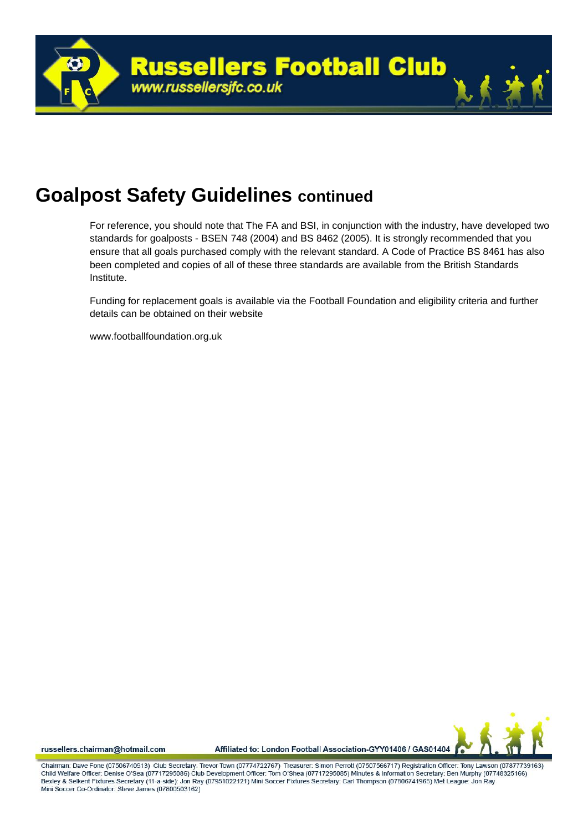

## **Goalpost Safety Guidelines continued**

For reference, you should note that The FA and BSI, in conjunction with the industry, have developed two standards for goalposts - BSEN 748 (2004) and BS 8462 (2005). It is strongly recommended that you ensure that all goals purchased comply with the relevant standard. A Code of Practice BS 8461 has also been completed and copies of all of these three standards are available from the British Standards Institute.

Funding for replacement goals is available via the Football Foundation and eligibility criteria and further details can be obtained on their website

www.footballfoundation.org.uk



russellers.chairman@hotmail.com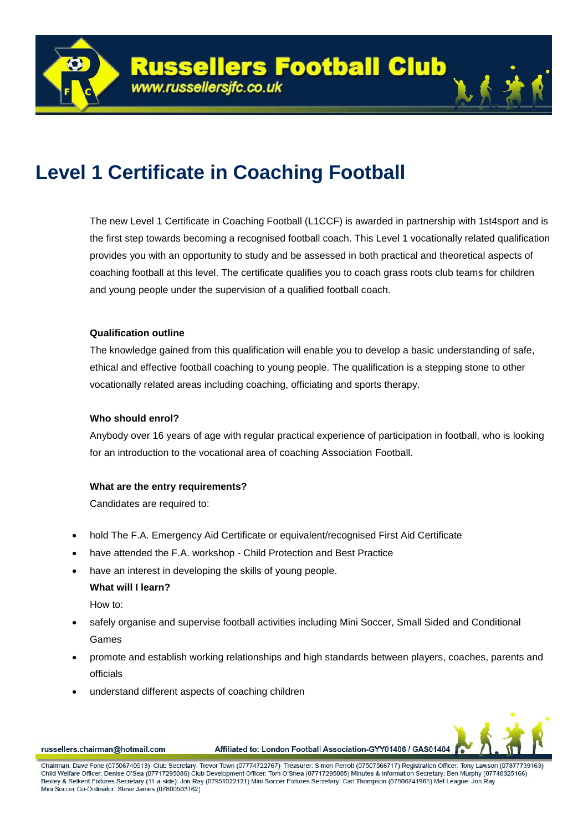

The new Level 1 Certificate in Coaching Football (L1CCF) is awarded in partnership with 1st4sport and is the first step towards becoming a recognised football coach. This Level 1 vocationally related qualification provides you with an opportunity to study and be assessed in both practical and theoretical aspects of coaching football at this level. The certificate qualifies you to coach grass roots club teams for children and young people under the supervision of a qualified football coach.

### **Qualification outline**

The knowledge gained from this qualification will enable you to develop a basic understanding of safe, ethical and effective football coaching to young people. The qualification is a stepping stone to other vocationally related areas including coaching, officiating and sports therapy.

### **Who should enrol?**

Anybody over 16 years of age with regular practical experience of participation in football, who is looking for an introduction to the vocational area of coaching Association Football.

## **What are the entry requirements?**

Candidates are required to:

- hold The F.A. Emergency Aid Certificate or equivalent/recognised First Aid Certificate
- have attended the F.A. workshop Child Protection and Best Practice
- have an interest in developing the skills of young people.

### **What will I learn?**

How to:

- safely organise and supervise football activities including Mini Soccer, Small Sided and Conditional Games
- promote and establish working relationships and high standards between players, coaches, parents and officials
- understand different aspects of coaching children



russellers.chairman@hotmail.com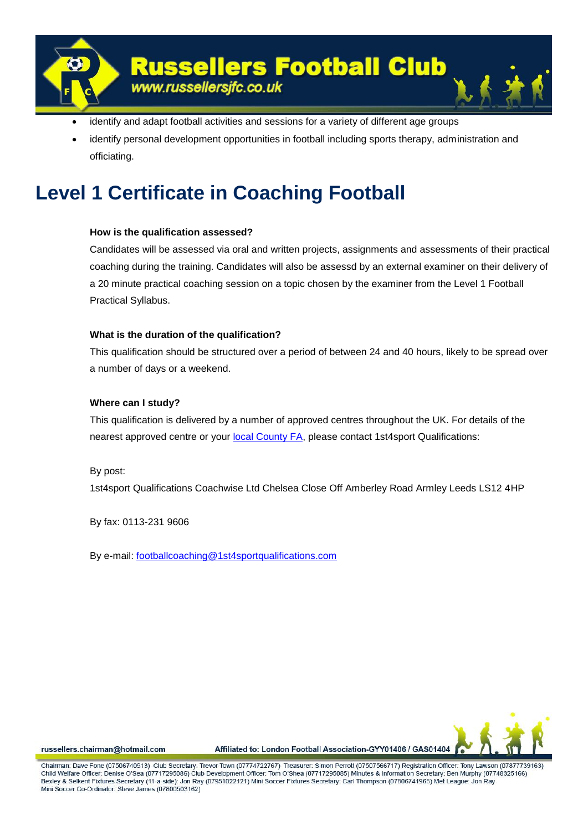

- identify and adapt football activities and sessions for a variety of different age groups
- identify personal development opportunities in football including sports therapy, administration and officiating.

## **Level 1 Certificate in Coaching Football**

### **How is the qualification assessed?**

Candidates will be assessed via oral and written projects, assignments and assessments of their practical coaching during the training. Candidates will also be assessd by an external examiner on their delivery of a 20 minute practical coaching session on a topic chosen by the examiner from the Level 1 Football Practical Syllabus.

## **What is the duration of the qualification?**

This qualification should be structured over a period of between 24 and 40 hours, likely to be spread over a number of days or a weekend.

### **Where can I study?**

This qualification is delivered by a number of approved centres throughout the UK. For details of the nearest approved centre or your [local County FA,](http://www.thefa.com/Grassroots/County%20FAs/Postings/2002/05/12003) please contact 1st4sport Qualifications:

### By post:

1st4sport Qualifications Coachwise Ltd Chelsea Close Off Amberley Road Armley Leeds LS12 4HP

By fax: 0113-231 9606

By e-mail: [footballcoaching@1st4sportqualifications.com](mailto:footballcoaching@1st4sportqualifications.com) 



russellers.chairman@hotmail.com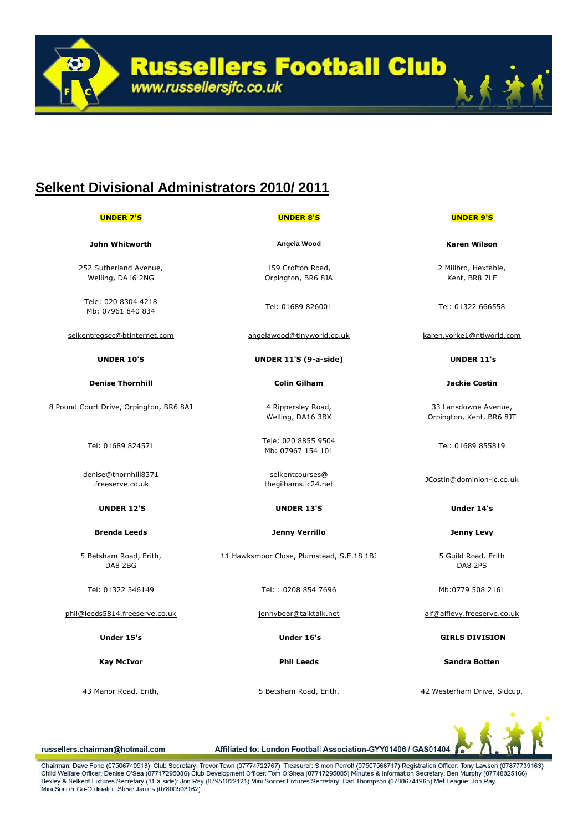**Russellers Football Club**<br>www.russellersjfc.co.uk

## **Selkent Divisional Administrators 2010/ 2011**

| <b>UNDER 7'S</b>                            | <b>UNDER 8'S</b>                          | <b>UNDER 9'S</b>                                 |
|---------------------------------------------|-------------------------------------------|--------------------------------------------------|
| John Whitworth                              | Angela Wood                               | <b>Karen Wilson</b>                              |
| 252 Sutherland Avenue,<br>Welling, DA16 2NG | 159 Crofton Road,<br>Orpington, BR6 8JA   | 2 Millbro, Hextable,<br>Kent, BR8 7LF            |
| Tele: 020 8304 4218<br>Mb: 07961 840 834    | Tel: 01689 826001                         | Tel: 01322 666558                                |
| selkentregsec@btinternet.com                | angelawood@tinyworld.co.uk                | karen.yorke1@ntlworld.com                        |
| <b>UNDER 10'S</b>                           | UNDER 11'S (9-a-side)                     | <b>UNDER 11's</b>                                |
| <b>Denise Thornhill</b>                     | <b>Colin Gilham</b>                       | <b>Jackie Costin</b>                             |
| 8 Pound Court Drive, Orpington, BR6 8AJ     | 4 Rippersley Road,<br>Welling, DA16 3BX   | 33 Lansdowne Avenue,<br>Orpington, Kent, BR6 8JT |
| Tel: 01689 824571                           | Tele: 020 8855 9504<br>Mb: 07967 154 101  | Tel: 01689 855819                                |
| denise@thornhill8371<br>.freeserve.co.uk    | selkentcourses@<br>thegilhams.ic24.net    | JCostin@dominion-ic.co.uk                        |
| <b>UNDER 12'S</b>                           | <b>UNDER 13'S</b>                         | Under 14's                                       |
| <b>Brenda Leeds</b>                         | <b>Jenny Verrillo</b>                     | <b>Jenny Levy</b>                                |
| 5 Betsham Road, Erith,<br>DA8 2BG           | 11 Hawksmoor Close, Plumstead, S.E.18 1BJ | 5 Guild Road. Erith<br>DA8 2PS                   |
| Tel: 01322 346149                           | Tel:: 0208 854 7696                       | Mb:0779 508 2161                                 |
| phil@leeds5814.freeserve.co.uk              | jennybear@talktalk.net                    | alf@alflevy.freeserve.co.uk                      |
| Under 15's                                  | Under 16's                                | <b>GIRLS DIVISION</b>                            |
| <b>Kay McIvor</b>                           | <b>Phil Leeds</b>                         | <b>Sandra Botten</b>                             |
| 43 Manor Road, Erith,                       | 5 Betsham Road, Erith,                    | 42 Westerham Drive, Sidcup,                      |
|                                             |                                           | $\sim$                                           |

russellers.chairman@hotmail.com

Affiliated to: London Football Association-GYY01406 / GAS01404

Chairman: Dave Fone (07506740913) Club Secretary: Trevor Town (07774722767) Treasurer: Simon Perrott (07507566717) Registration Officer: Tony Lawson (07877739163) Child Welfare Officer: Denise O'Sea (07717295086) Club Development Officer: Tom O'Shea (07717295085) Minutes & Information Secretary: Ben Murphy (07748325166) Bexley & Selkent Fixtures Secretary (11-a-side): Jon Ray (07951022121) Mini Soccer Fixtures Secretary: Carl Thompson (07806741965) Met League: Jon Ray Mini Soccer Co-Ordinator: Steve James (07800503162)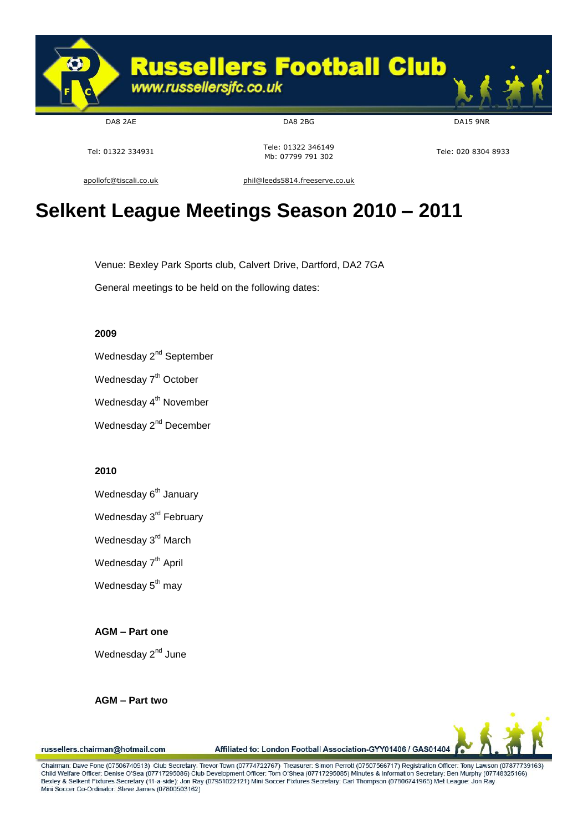

DA8 2AE DA8 2BG DA15 9NR

Tel: 01322 334931 Tel: 01322 346149 Tele: 01322 340149<br>Mb: 07799 791 302

[apollofc@tiscali.co.uk](mailto:apollofc@tiscali.co.uk) [phil@leeds5814.freeserve.co.uk](mailto:phil@leeds5814.freeserve.co.uk)

## **Selkent League Meetings Season 2010 – 2011**

Venue: Bexley Park Sports club, Calvert Drive, Dartford, DA2 7GA

General meetings to be held on the following dates:

### **2009**

Wednesday 2<sup>nd</sup> September

Wednesday 7<sup>th</sup> October

Wednesday 4<sup>th</sup> November

Wednesday 2<sup>nd</sup> December

### **2010**

Wednesday 6<sup>th</sup> January

Wednesday 3<sup>rd</sup> February

Wednesday 3<sup>rd</sup> March

Wednesday 7<sup>th</sup> April

Wednesday  $5<sup>th</sup>$  may

**AGM – Part one**

Wednesday 2<sup>nd</sup> June

**AGM – Part two**

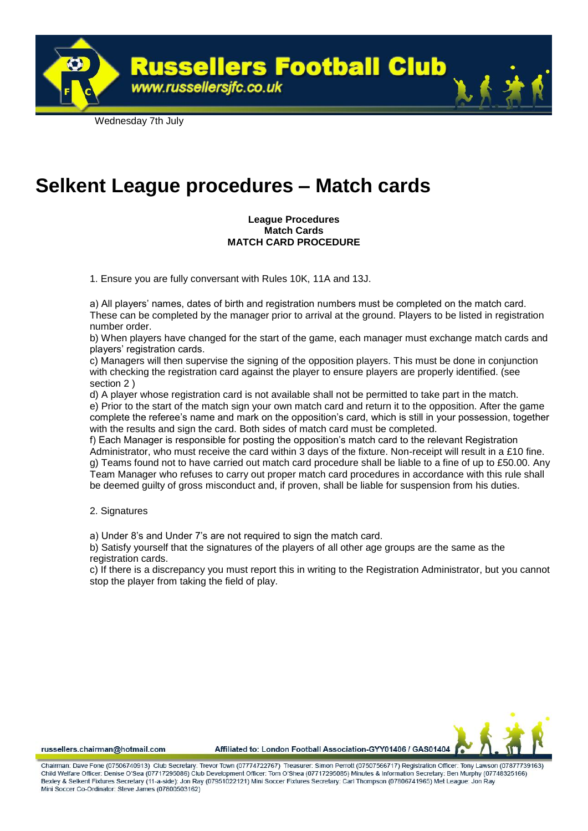Wednesday 7th July

## **Selkent League procedures – Match cards**

www.russellersjfc.co.uk

### **League Procedures Match Cards MATCH CARD PROCEDURE**

**Russellers Football Club** 

1. Ensure you are fully conversant with Rules 10K, 11A and 13J.

a) All players' names, dates of birth and registration numbers must be completed on the match card. These can be completed by the manager prior to arrival at the ground. Players to be listed in registration number order.

b) When players have changed for the start of the game, each manager must exchange match cards and players' registration cards.

c) Managers will then supervise the signing of the opposition players. This must be done in conjunction with checking the registration card against the player to ensure players are properly identified. (see section 2 )

d) A player whose registration card is not available shall not be permitted to take part in the match. e) Prior to the start of the match sign your own match card and return it to the opposition. After the game complete the referee's name and mark on the opposition's card, which is still in your possession, together with the results and sign the card. Both sides of match card must be completed.

f) Each Manager is responsible for posting the opposition's match card to the relevant Registration Administrator, who must receive the card within 3 days of the fixture. Non-receipt will result in a £10 fine. g) Teams found not to have carried out match card procedure shall be liable to a fine of up to £50.00. Any Team Manager who refuses to carry out proper match card procedures in accordance with this rule shall be deemed guilty of gross misconduct and, if proven, shall be liable for suspension from his duties.

2. Signatures

a) Under 8's and Under 7's are not required to sign the match card.

b) Satisfy yourself that the signatures of the players of all other age groups are the same as the registration cards.

c) If there is a discrepancy you must report this in writing to the Registration Administrator, but you cannot stop the player from taking the field of play.



russellers.chairman@hotmail.com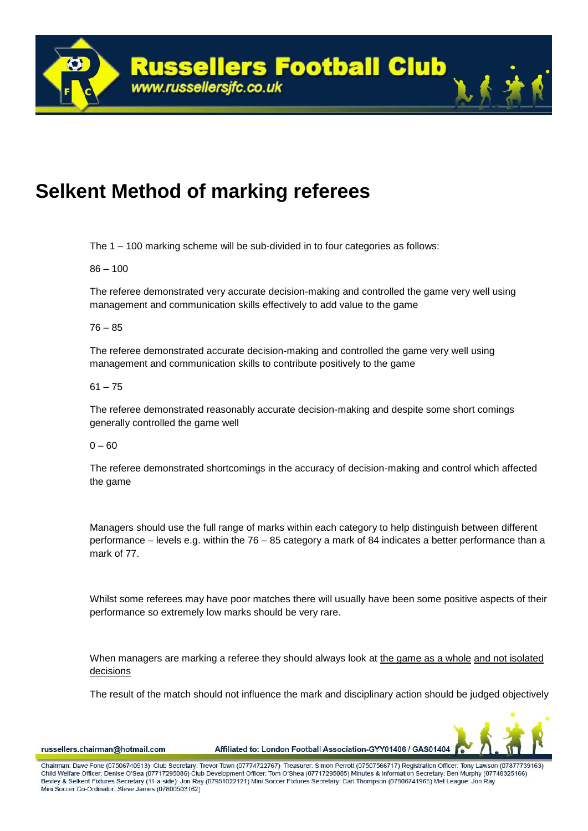## **Selkent Method of marking referees**

The 1 – 100 marking scheme will be sub-divided in to four categories as follows:

 $86 - 100$ 

The referee demonstrated very accurate decision-making and controlled the game very well using management and communication skills effectively to add value to the game

76 – 85

The referee demonstrated accurate decision-making and controlled the game very well using management and communication skills to contribute positively to the game

 $61 - 75$ 

The referee demonstrated reasonably accurate decision-making and despite some short comings generally controlled the game well

 $0 - 60$ 

The referee demonstrated shortcomings in the accuracy of decision-making and control which affected the game

Managers should use the full range of marks within each category to help distinguish between different performance – levels e.g. within the 76 – 85 category a mark of 84 indicates a better performance than a mark of 77.

Whilst some referees may have poor matches there will usually have been some positive aspects of their performance so extremely low marks should be very rare.

When managers are marking a referee they should always look at the game as a whole and not isolated decisions

The result of the match should not influence the mark and disciplinary action should be judged objectively



russellers.chairman@hotmail.com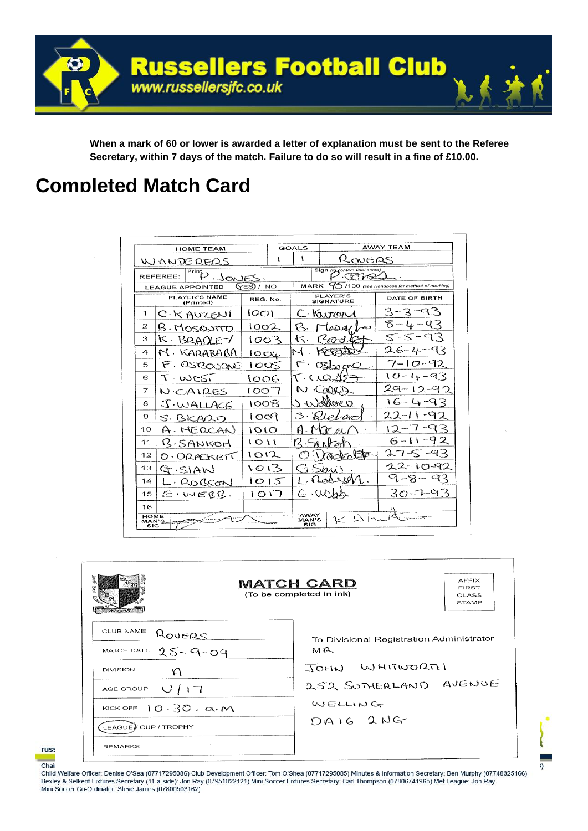

**When a mark of 60 or lower is awarded a letter of explanation must be sent to the Referee Secretary, within 7 days of the match. Failure to do so will result in a fine of £10.00.**

## **Completed Match Card**

|                      | <b>HOME TEAM</b>                  |            |  | GOALS                                        |                                     | <b>AWAY TEAM</b>                         |
|----------------------|-----------------------------------|------------|--|----------------------------------------------|-------------------------------------|------------------------------------------|
|                      | WANDERFRS                         | ١          |  |                                              | ROUERS                              |                                          |
|                      | Print<br>REFEREE:<br><u> JONE</u> |            |  | Sign (tg.confirm final score)<br><b>CARO</b> |                                     |                                          |
|                      | <b>LEAGUE APPOINTED</b>           | (YES) / NO |  | MARK                                         |                                     | 100 (see Handbook for method of marking) |
|                      | <b>PLAYER'S NAME</b><br>(Printed) | REG. No.   |  |                                              | <b>PLAYER'S</b><br><b>SIGNATURE</b> | DATE OF BIRTH                            |
| 1                    | C. K AUZENI                       | 1001       |  |                                              | C. Karron                           | 3-3-93                                   |
| $\overline{2}$       | B. MOSQUITO                       | 1002       |  |                                              | oD d.L<br>$-65$                     | $8 - 4 - 93$                             |
| З                    | к.<br>BRADLE                      | 1003       |  |                                              | ひっし                                 | 5-5-93                                   |
| 4                    | KARABABA                          | $100\mu$   |  |                                              |                                     | $26 - 4 - 93$                            |
| 5                    | F. OSY3000AVE                     | 10C<       |  |                                              | GZ1<br>ാഹ⇔                          | $7 - 10 - 92$                            |
| 6                    | T. WEST<br>1006                   |            |  | T CLO                                        |                                     | 10-4-93                                  |
| $\overline{7}$       | NICAIRES                          | 1007       |  |                                              | $\triangle$                         | $29 - 12 - 92$                           |
| 8                    | J.WALLACE                         | 1008       |  |                                              | allare O                            | $16 - 4 - 93$                            |
| 9                    | S. BICARD                         | 1009       |  |                                              | $\mathcal{W}$                       | $22 - 1$                                 |
| 10                   | A. MERCANI                        | IOLO       |  |                                              |                                     |                                          |
| 11                   | B.SANKOH                          | 1011       |  |                                              |                                     | $6 - 11 - 92$                            |
| 12                   | O. DRACKETT                       | 1012       |  |                                              | <b>ROCKOLEE</b>                     |                                          |
| 13                   | G.SIAW                            | いついろ       |  | ΪĠ.                                          | $\bigcirc$ ianc                     | 12-10-92                                 |
| 14                   | L. ROBCON                         | 1015       |  |                                              | Rossen.                             | 9-8-93                                   |
| 15                   | $E$ , werry.                      | 1017       |  | にいいね                                         |                                     | スローユータス                                  |
| 16                   |                                   |            |  |                                              |                                     |                                          |
| HOME<br>MAN'S<br>SIG | <del>ann</del> y Cours            |            |  | AWAY<br>MAN'S<br>SIG                         | $K$ $N$ $\sim$                      | a ngantao Titik                          |

| 7.1.11                                                                                                                                                                                                | <b>MATCH CARD</b><br>(To be completed in ink)                                                                         | <b>AFFIX</b><br><b>FIRST</b><br><b>CLASS</b><br><b>STAMP</b> |
|-------------------------------------------------------------------------------------------------------------------------------------------------------------------------------------------------------|-----------------------------------------------------------------------------------------------------------------------|--------------------------------------------------------------|
| CLUB NAME<br>ROVERS<br>MATCH DATE $25 - 9 - 09$<br><b>DIVISION</b><br>K<br>AGE GROUP $\bigcup$ $\bigcap$<br>KICK OFF $10.30 \cdot \alpha \cdot M$<br>LEAGUE) CUP / TROPHY<br>$\sim$<br><b>REMARKS</b> | To Divisional Registration Administrator<br>$M$ $R$<br>JOHN WHITWORTH<br>252 SOTHERLAND AVENUE<br>WELLING<br>DAIG 2NG |                                                              |

33



Child Welfare Officer: Denise O'Sea (07717295086) Club Development Officer: Tom O'Shea (07717295085) Minutes & Information Secretary: Ben Murphy (07748325166) Bexley & Selkent Fixtures Secretary (11-a-side): Jon Ray (07951022121) Mini Soccer Fixtures Secretary: Carl Thompson (07806741965) Met League: Jon Ray Mini Soccer Co-Ordinator: Steve James (07800503162)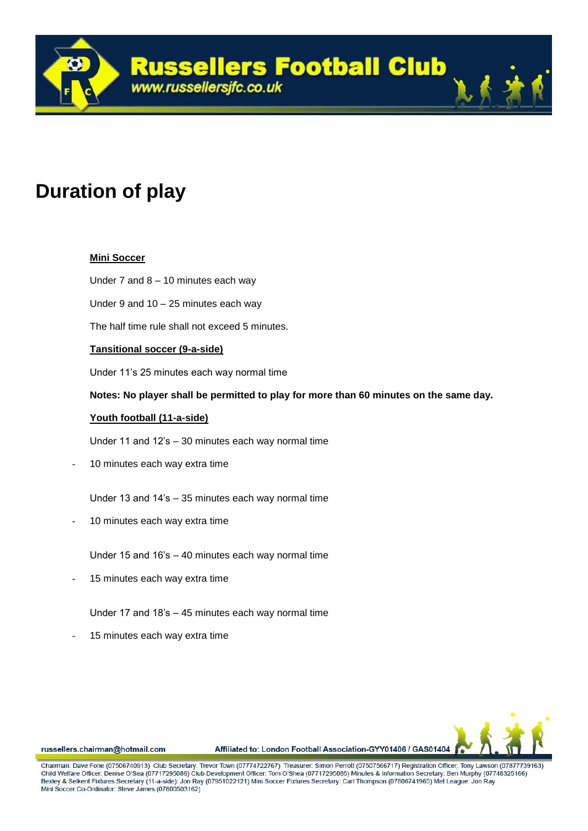

## **Duration of play**

## **Mini Soccer**

Under 7 and 8 – 10 minutes each way

Under 9 and 10 – 25 minutes each way

The half time rule shall not exceed 5 minutes.

## **Tansitional soccer (9-a-side)**

Under 11's 25 minutes each way normal time

**Notes: No player shall be permitted to play for more than 60 minutes on the same day.**

### **Youth football (11-a-side)**

Under 11 and 12's – 30 minutes each way normal time

10 minutes each way extra time

Under 13 and 14's – 35 minutes each way normal time

- 10 minutes each way extra time
	- Under 15 and 16's 40 minutes each way normal time
- 15 minutes each way extra time
	- Under 17 and 18's 45 minutes each way normal time
- 15 minutes each way extra time



russellers.chairman@hotmail.com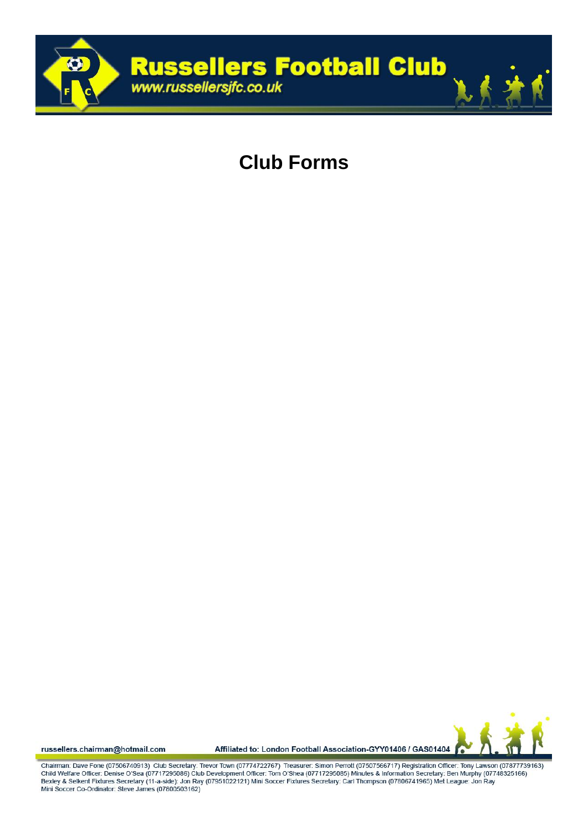

## **Club Forms**

russellers.chairman@hotmail.com

Affiliated to: London Football Association-GYY01406 / GAS01404

Chairman: Dave Fone (07506740913) Club Secretary: Trevor Town (07774722767) Treasurer: Simon Perrott (07507566717) Registration Officer: Tony Lawson (07877739163)<br>Child Welfare Officer: Denise O'Sea (07717295086) Club Deve Bexley & Selkent Fixtures Secretary (11-a-side): Jon Ray (07951022121) Mini Soccer Fixtures Secretary: Carl Thompson (07806741965) Met League: Jon Ray Mini Soccer Co-Ordinator: Steve James (07800503162)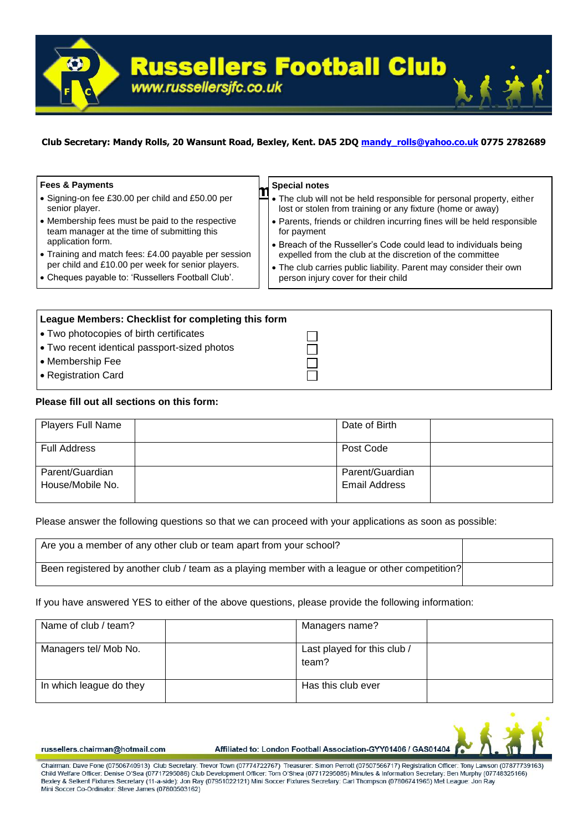

## **Club Secretary: Mandy Rolls, 20 Wansunt Road, Bexley, Kent. DA5 2DQ [mandy\\_rolls@yahoo.co.uk](mailto:mandy_rolls@yahoo.co.uk) 0775 2782689**

#### **Fees & Payments**

- Signing-on fee £30.00 per child and £50.00 per senior player.
- Membership fees must be paid to the respective team manager at the time of submitting this application form.
- Training and match fees: £4.00 payable per session per child and £10.00 per week for senior players.
- Cheques payable to: 'Russellers Football Club'.

#### **Special notes**

- **Membership Apecial notes**<br> **M** The club will not be held responsible for personal property, either lost or stolen from training or any fixture (home or away)
	- Parents, friends or children incurring fines will be held responsible for payment
	- Breach of the Russeller's Code could lead to individuals being expelled from the club at the discretion of the committee
	- The club carries public liability. Parent may consider their own person injury cover for their child

| League Members: Checklist for completing this form |  |
|----------------------------------------------------|--|
| l • Two photocopies of birth certificates          |  |
| √ Two recent identical passport-sized photos       |  |
| • Membership Fee                                   |  |
| ● Registration Card                                |  |
|                                                    |  |

#### **Please fill out all sections on this form:**

| <b>Players Full Name</b> | Date of Birth   |
|--------------------------|-----------------|
| <b>Full Address</b>      | Post Code       |
| Parent/Guardian          | Parent/Guardian |
| House/Mobile No.         | Email Address   |

Please answer the following questions so that we can proceed with your applications as soon as possible:

| Are you a member of any other club or team apart from your school?                             |  |
|------------------------------------------------------------------------------------------------|--|
| Been registered by another club / team as a playing member with a league or other competition? |  |

If you have answered YES to either of the above questions, please provide the following information:

| Name of club / team?    | Managers name?                       |  |
|-------------------------|--------------------------------------|--|
| Managers tel/ Mob No.   | Last played for this club /<br>team? |  |
| In which league do they | Has this club ever                   |  |



russellers.chairman@hotmail.com

Affiliated to: London Football Association-GYY01406 / GAS01404

Chairman: Dave Fone (07506740913) Club Secretary: Trevor Town (07774722767) Treasurer: Simon Perroff (07507566717) Registration Officer: Tony Lawson (07877739163) Child Welfare Officer: Denise O'Sea (07717295086) Club Development Officer: Tom O'Shea (07717295085) Minutes & Information Secretary: Ben Murphy (07748325166) Bexley & Selkent Fixtures Secretary (11-a-side): Jon Ray (07951022121) Mini Soccer Fixtures Secretary: Carl Thompson (07806741965) Met League: Jon Ray Mini Soccer Co-Ordinator: Steve James (07800503162)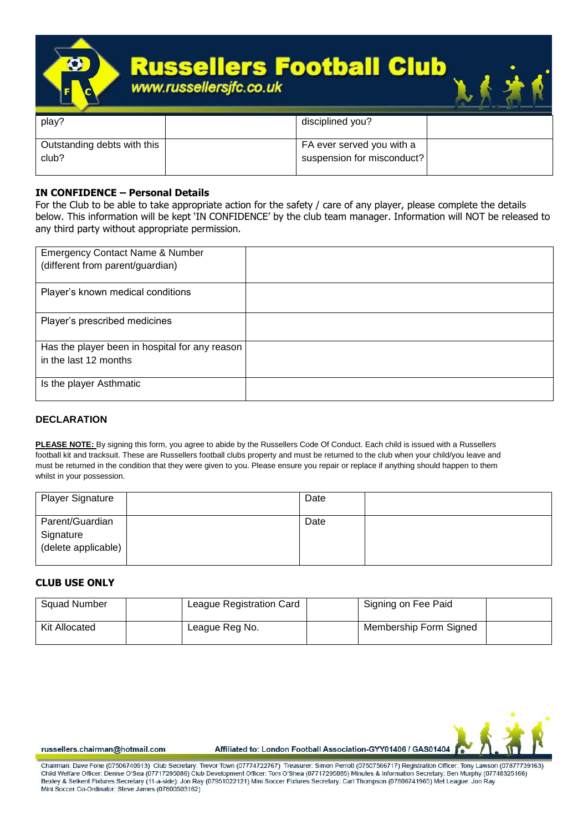

| play?                                | disciplined you?                                        |  |
|--------------------------------------|---------------------------------------------------------|--|
| Outstanding debts with this<br>club? | FA ever served you with a<br>suspension for misconduct? |  |
|                                      |                                                         |  |

## **IN CONFIDENCE – Personal Details**

For the Club to be able to take appropriate action for the safety / care of any player, please complete the details below. This information will be kept 'IN CONFIDENCE' by the club team manager. Information will NOT be released to any third party without appropriate permission.

| <b>Emergency Contact Name &amp; Number</b><br>(different from parent/guardian) |  |
|--------------------------------------------------------------------------------|--|
| Player's known medical conditions                                              |  |
| Player's prescribed medicines                                                  |  |
| Has the player been in hospital for any reason                                 |  |
| in the last 12 months                                                          |  |
| Is the player Asthmatic                                                        |  |

## **DECLARATION**

**PLEASE NOTE:** By signing this form, you agree to abide by the Russellers Code Of Conduct. Each child is issued with a Russellers football kit and tracksuit. These are Russellers football clubs property and must be returned to the club when your child/you leave and must be returned in the condition that they were given to you. Please ensure you repair or replace if anything should happen to them whilst in your possession.

| <b>Player Signature</b>                             | Date |  |
|-----------------------------------------------------|------|--|
| Parent/Guardian<br>Signature<br>(delete applicable) | Date |  |

## **CLUB USE ONLY**

| <b>Squad Number</b> | League Registration Card | Signing on Fee Paid    |  |
|---------------------|--------------------------|------------------------|--|
| Kit Allocated       | League Reg No.           | Membership Form Signed |  |



russellers.chairman@hotmail.com

Affiliated to: London Football Association-GYY01406 / GAS01404

Chairman: Dave Fone (07506740913). Club Secretary: Trevor Town (07774722767). Treasurer: Simon Perroff (07507566717) Registration Officer: Tony Lawson (07877739163). Child Welfare Officer: Denise O'Sea (07717295086) Club Development Officer: Tom O'Shea (07717295085) Minutes & Information Secretary: Ben Murphy (07748325166) Bexley & Selkent Fixtures Secretary (11-a-side): Jon Ray (07951022121) Mini Soccer Fixtures Secretary: Carl Thompson (07806741965) Met League: Jon Ray Mini Soccer Co-Ordinator: Steve James (07800503162)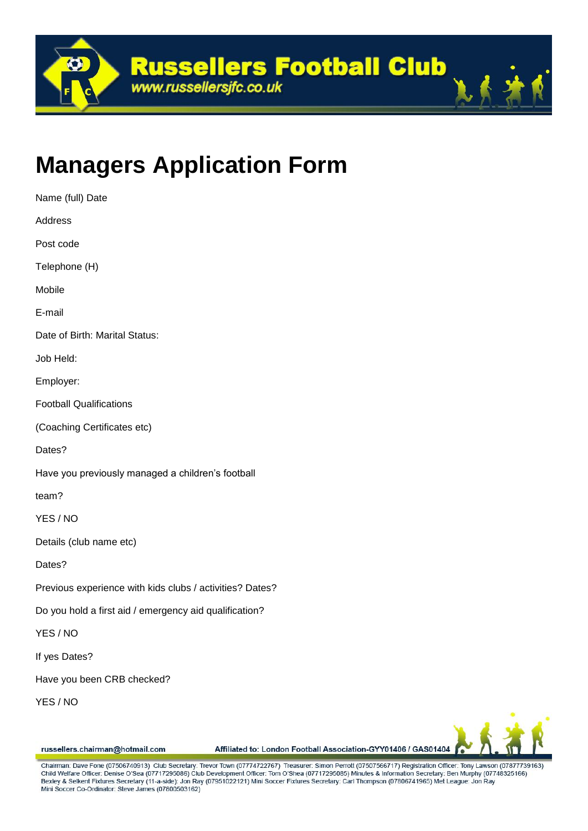

# **Managers Application Form**

| Name (full) Date                                         |
|----------------------------------------------------------|
| Address                                                  |
| Post code                                                |
| Telephone (H)                                            |
| Mobile                                                   |
| E-mail                                                   |
| Date of Birth: Marital Status:                           |
| Job Held:                                                |
| Employer:                                                |
| <b>Football Qualifications</b>                           |
| (Coaching Certificates etc)                              |
| Dates?                                                   |
| Have you previously managed a children's football        |
| team?                                                    |
| YES / NO                                                 |
| Details (club name etc)                                  |
| Dates?                                                   |
| Previous experience with kids clubs / activities? Dates? |
| Do you hold a first aid / emergency aid qualification?   |
| YES / NO                                                 |
| If yes Dates?                                            |
| Have you been CRB checked?                               |
| YES / NO                                                 |



russellers.chairman@hotmail.com

Affiliated to: London Football Association-GYY01406 / GAS01404

Chairman: Dave Fone (07506740913) Club Secretary: Trevor Town (07774722767) Treasurer: Simon Perrott (07507566717) Registration Officer: Tony Lawson (07877739163) Child Welfare Officer: Denise O'Sea (07717295086) Club Development Officer: Tom O'Shea (07717295085) Minutes & Information Secretary: Ben Murphy (07748325166) Bexley & Selkent Fixtures Secretary (11-a-side): Jon Ray (07951022121) Mini Soccer Fixtures Secretary: Carl Thompson (07806741965) Met League: Jon Ray Mini Soccer Co-Ordinator: Steve James (07800503162)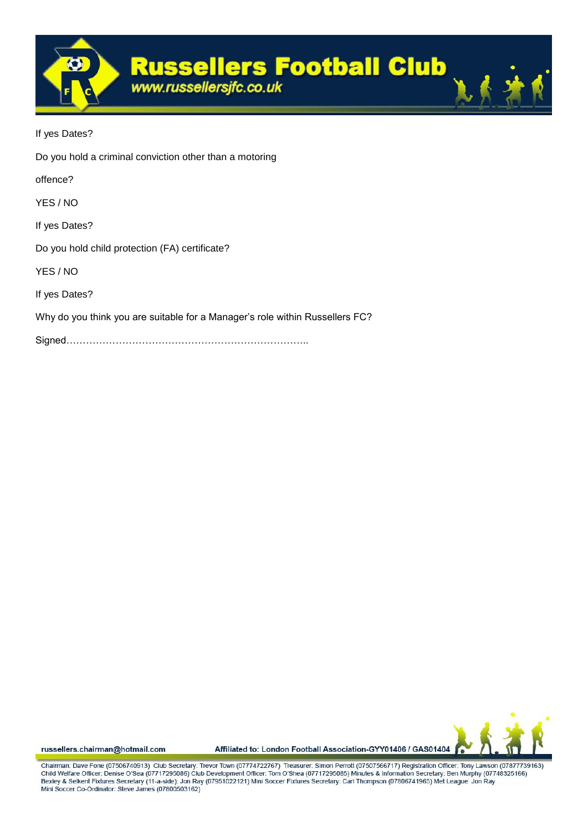

If yes Dates? Do you hold a criminal conviction other than a motoring offence? YES / NO If yes Dates? Do you hold child protection (FA) certificate? YES / NO If yes Dates? Why do you think you are suitable for a Manager's role within Russellers FC? Signed………………………………………………………………..



russellers.chairman@hotmail.com

Affiliated to: London Football Association-GYY01406 / GAS01404

Chairman: Dave Fone (07506740913) Club Secretary: Trevor Town (07774722767) Treasurer: Simon Perrott (07507566717) Registration Officer: Tony Lawson (07877739163) Child Welfare Officer: Denise O'Sea (07717295086) Club Development Officer: Tom O'Shea (07717295085) Minutes & Information Secretary: Ben Murphy (07748325166) Bexley & Selkent Fixtures Secretary (11-a-side): Jon Ray (07951022121) Mini Soccer Fixtures Secretary: Carl Thompson (07806741965) Met League: Jon Ray Mini Soccer Co-Ordinator: Steve James (07800503162)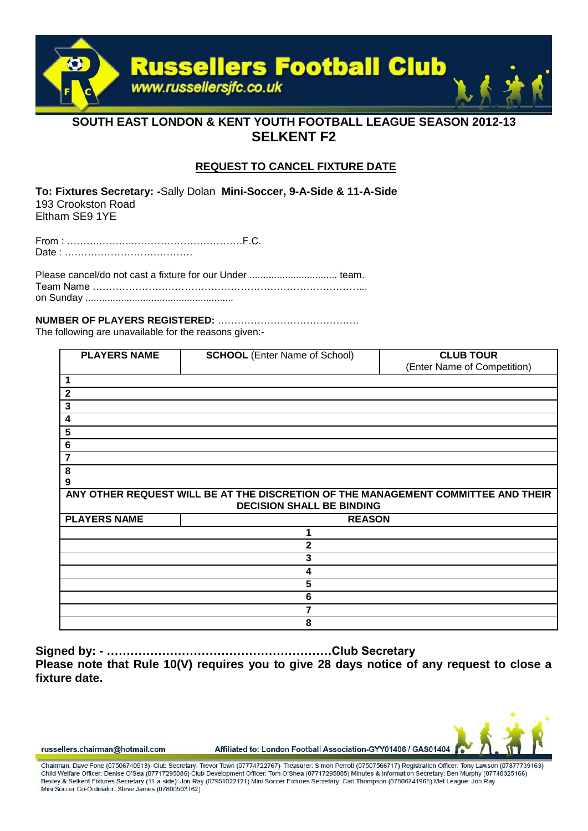

## **SOUTH EAST LONDON & KENT YOUTH FOOTBALL LEAGUE SEASON 2012-13 SELKENT F2**

## **REQUEST TO CANCEL FIXTURE DATE**

**To: Fixtures Secretary: -**Sally Dolan **Mini-Soccer, 9-A-Side & 11-A-Side**  193 Crookston Road Eltham SE9 1YE

From : ……….………..……………………………F.C. Date : …………………………………

Please cancel/do not cast a fixture for our Under ................................ team. Team Name ………………………………………………………………………... on Sunday ......................................................

### **NUMBER OF PLAYERS REGISTERED:** …………………………………….

The following are unavailable for the reasons given:-

| <b>PLAYERS NAME</b>                                                               | <b>SCHOOL</b> (Enter Name of School) | <b>CLUB TOUR</b><br>(Enter Name of Competition) |
|-----------------------------------------------------------------------------------|--------------------------------------|-------------------------------------------------|
| 1                                                                                 |                                      |                                                 |
| $\mathbf{2}$                                                                      |                                      |                                                 |
| 3                                                                                 |                                      |                                                 |
| 4                                                                                 |                                      |                                                 |
| 5                                                                                 |                                      |                                                 |
| 6                                                                                 |                                      |                                                 |
| 7                                                                                 |                                      |                                                 |
| 8                                                                                 |                                      |                                                 |
| 9                                                                                 |                                      |                                                 |
| ANY OTHER REQUEST WILL BE AT THE DISCRETION OF THE MANAGEMENT COMMITTEE AND THEIR |                                      |                                                 |
| <b>DECISION SHALL BE BINDING</b>                                                  |                                      |                                                 |
| <b>PLAYERS NAME</b>                                                               | <b>REASON</b>                        |                                                 |
|                                                                                   |                                      |                                                 |
| 2                                                                                 |                                      |                                                 |
| 3                                                                                 |                                      |                                                 |
| 4                                                                                 |                                      |                                                 |
| 5                                                                                 |                                      |                                                 |
| 6                                                                                 |                                      |                                                 |
|                                                                                   |                                      |                                                 |
| 8                                                                                 |                                      |                                                 |

**Signed by: - …………………………………………………Club Secretary Please note that Rule 10(V) requires you to give 28 days notice of any request to close a fixture date.** 



russellers.chairman@hotmail.com

Affiliated to: London Football Association-GYY01406 / GAS01404

Chairman: Dave Fone (07506740913). Club Secretary: Trevor Town (07774722767). Treasurer: Simon Perroff (07507566717) Registration Officer: Tony Lawson (07877739163). Child Welfare Officer: Denise O'Sea (07717295086) Club Development Officer: Tom O'Shea (07717295085) Minutes & Information Secretary: Ben Murphy (07748325166) Bexley & Selkent Fixtures Secretary (11-a-side): Jon Ray (07951022121) Mini Soccer Fixtures Secretary: Carl Thompson (07806741965) Met League: Jon Ray Mini Soccer Co-Ordinator: Steve James (07800503162)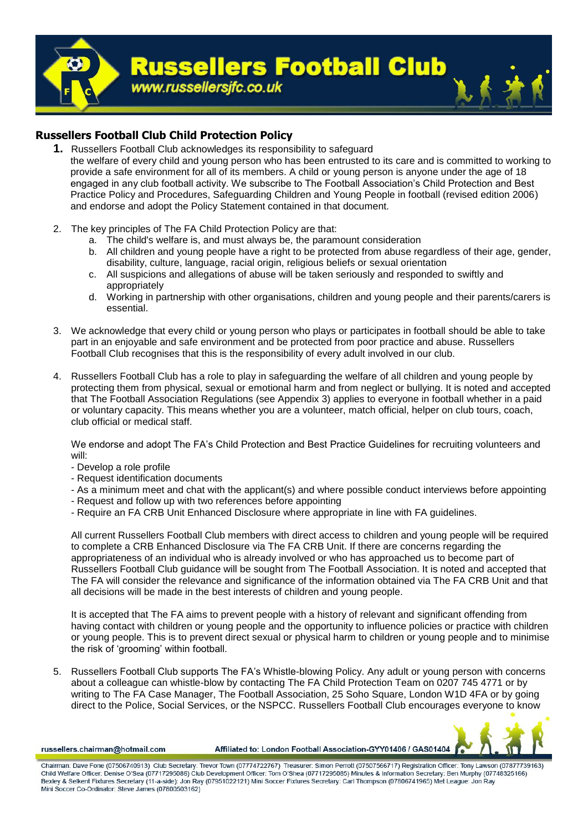

## **Russellers Football Club Child Protection Policy**

- **1.** Russellers Football Club acknowledges its responsibility to safeguard the welfare of every child and young person who has been entrusted to its care and is committed to working to provide a safe environment for all of its members. A child or young person is anyone under the age of 18 engaged in any club football activity. We subscribe to The Football Association's Child Protection and Best Practice Policy and Procedures, Safeguarding Children and Young People in football (revised edition 2006) and endorse and adopt the Policy Statement contained in that document.
- 2. The key principles of The FA Child Protection Policy are that:
	- a. The child's welfare is, and must always be, the paramount consideration
	- b. All children and young people have a right to be protected from abuse regardless of their age, gender, disability, culture, language, racial origin, religious beliefs or sexual orientation
	- c. All suspicions and allegations of abuse will be taken seriously and responded to swiftly and appropriately
	- d. Working in partnership with other organisations, children and young people and their parents/carers is essential.
- 3. We acknowledge that every child or young person who plays or participates in football should be able to take part in an enjoyable and safe environment and be protected from poor practice and abuse. Russellers Football Club recognises that this is the responsibility of every adult involved in our club.
- 4. Russellers Football Club has a role to play in safeguarding the welfare of all children and young people by protecting them from physical, sexual or emotional harm and from neglect or bullying. It is noted and accepted that The Football Association Regulations (see Appendix 3) applies to everyone in football whether in a paid or voluntary capacity. This means whether you are a volunteer, match official, helper on club tours, coach, club official or medical staff.

We endorse and adopt The FA's Child Protection and Best Practice Guidelines for recruiting volunteers and will:

- Develop a role profile
- Request identification documents
- As a minimum meet and chat with the applicant(s) and where possible conduct interviews before appointing
- Request and follow up with two references before appointing
- Require an FA CRB Unit Enhanced Disclosure where appropriate in line with FA guidelines.

All current Russellers Football Club members with direct access to children and young people will be required to complete a CRB Enhanced Disclosure via The FA CRB Unit. If there are concerns regarding the appropriateness of an individual who is already involved or who has approached us to become part of Russellers Football Club guidance will be sought from The Football Association. It is noted and accepted that The FA will consider the relevance and significance of the information obtained via The FA CRB Unit and that all decisions will be made in the best interests of children and young people.

It is accepted that The FA aims to prevent people with a history of relevant and significant offending from having contact with children or young people and the opportunity to influence policies or practice with children or young people. This is to prevent direct sexual or physical harm to children or young people and to minimise the risk of 'grooming' within football.

5. Russellers Football Club supports The FA's Whistle-blowing Policy. Any adult or young person with concerns about a colleague can whistle-blow by contacting The FA Child Protection Team on 0207 745 4771 or by writing to The FA Case Manager, The Football Association, 25 Soho Square, London W1D 4FA or by going direct to the Police, Social Services, or the NSPCC. Russellers Football Club encourages everyone to know

russellers.chairman@hotmail.com



Chairman: Dave Fone (07506740913). Club Secretary: Trevor Town (07774722767). Treasurer: Simon Perroff (07507566717) Registration Officer: Tony Lawson (07877739163). Child Welfare Officer: Denise O'Sea (07717295086) Club Development Officer: Tom O'Shea (07717295085) Minutes & Information Secretary: Ben Murphy (07748325166) Bexley & Selkent Fixtures Secretary (11-a-side): Jon Ray (07951022121) Mini Soccer Fixtures Secretary: Carl Thompson (07806741965) Met League: Jon Ray Mini Soccer Co-Ordinator: Steve James (07800503162)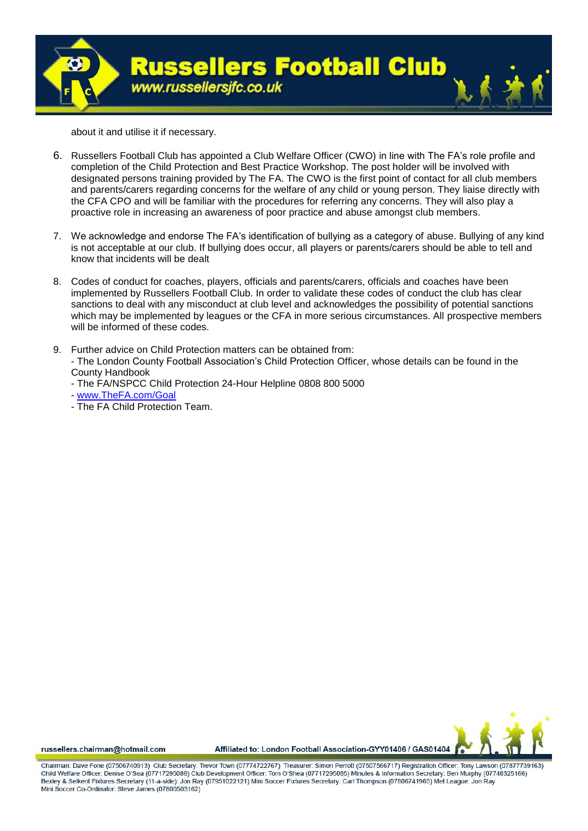

about it and utilise it if necessary.

- 6. Russellers Football Club has appointed a Club Welfare Officer (CWO) in line with The FA's role profile and completion of the Child Protection and Best Practice Workshop. The post holder will be involved with designated persons training provided by The FA. The CWO is the first point of contact for all club members and parents/carers regarding concerns for the welfare of any child or young person. They liaise directly with the CFA CPO and will be familiar with the procedures for referring any concerns. They will also play a proactive role in increasing an awareness of poor practice and abuse amongst club members.
- 7. We acknowledge and endorse The FA's identification of bullying as a category of abuse. Bullying of any kind is not acceptable at our club. If bullying does occur, all players or parents/carers should be able to tell and know that incidents will be dealt
- 8. Codes of conduct for coaches, players, officials and parents/carers, officials and coaches have been implemented by Russellers Football Club. In order to validate these codes of conduct the club has clear sanctions to deal with any misconduct at club level and acknowledges the possibility of potential sanctions which may be implemented by leagues or the CFA in more serious circumstances. All prospective members will be informed of these codes.
- 9. Further advice on Child Protection matters can be obtained from: - The London County Football Association's Child Protection Officer, whose details can be found in the County Handbook
	- The FA/NSPCC Child Protection 24-Hour Helpline 0808 800 5000
	- [www.TheFA.com/Goal](http://www.thefa.com/Goal)
	- The FA Child Protection Team.



russellers.chairman@hotmail.com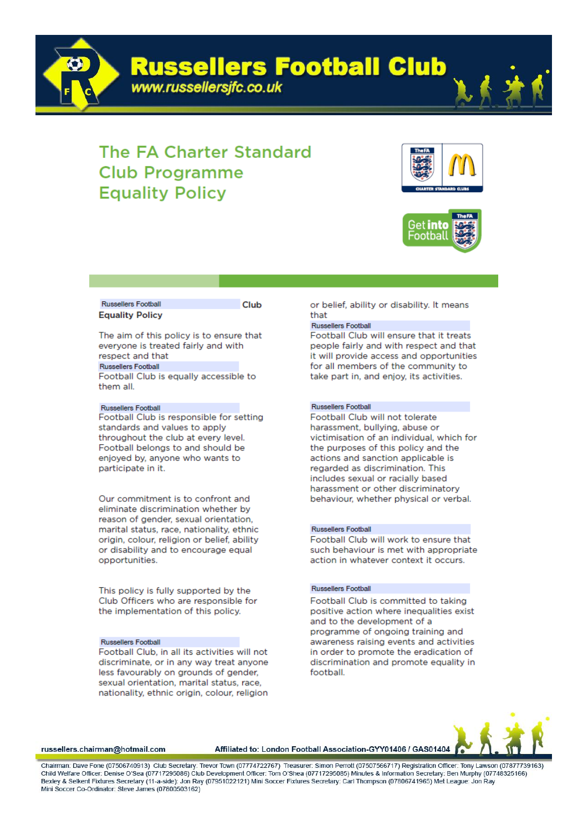**Russellers Football Club** 



www.russellersjfc.co.uk





#### **Russellers Football Equality Policy**

Club

The aim of this policy is to ensure that everyone is treated fairly and with respect and that **Russellers Football** Football Club is equally accessible to

them all.

#### **Russellers Football**

Football Club is responsible for setting standards and values to apply throughout the club at every level. Football belongs to and should be enioyed by, anyone who wants to participate in it.

Our commitment is to confront and eliminate discrimination whether by reason of gender, sexual orientation. marital status, race, nationality, ethnic origin, colour, religion or belief, ability or disability and to encourage equal opportunities.

This policy is fully supported by the Club Officers who are responsible for the implementation of this policy.

#### **Russellers Football**

Football Club, in all its activities will not discriminate, or in any way treat anyone less favourably on grounds of gender, sexual orientation, marital status, race, nationality, ethnic origin, colour, religion or belief, ability or disability. It means that

#### **Russellers Football**

Football Club will ensure that it treats people fairly and with respect and that it will provide access and opportunities for all members of the community to take part in, and enjoy, its activities.

#### Russellers Football

Football Club will not tolerate harassment, bullying, abuse or victimisation of an individual, which for the purposes of this policy and the actions and sanction applicable is regarded as discrimination. This includes sexual or racially based harassment or other discriminatory behaviour, whether physical or verbal.

#### **Russellers Football**

Football Club will work to ensure that such behaviour is met with appropriate action in whatever context it occurs.

#### **Russellers Football**

Football Club is committed to taking positive action where inequalities exist and to the development of a programme of ongoing training and awareness raising events and activities in order to promote the eradication of discrimination and promote equality in football.

russellers.chairman@hotmail.com

Affiliated to: London Football Association-GYY01406 / GAS01404

Chairman: Dave Fone (07506740913) Club Secretary: Trevor Town (07774722767) Treasurer: Simon Perroff (07507566717) Registration Officer: Tony Lawson (07877739163) Child Welfare Officer: Denise O'Sea (07717295086) Club Development Officer: Tom O'Shea (07717295085) Minutes & Information Secretary: Ben Murphy (07748325166) Bexley & Selkent Fixtures Secretary (11-a-side): Jon Ray (07951022121) Mini Soccer Fixtures Secretary: Carl Thompson (07806741965) Met League: Jon Ray Mini Soccer Co-Ordinator: Steve James (07800503162)